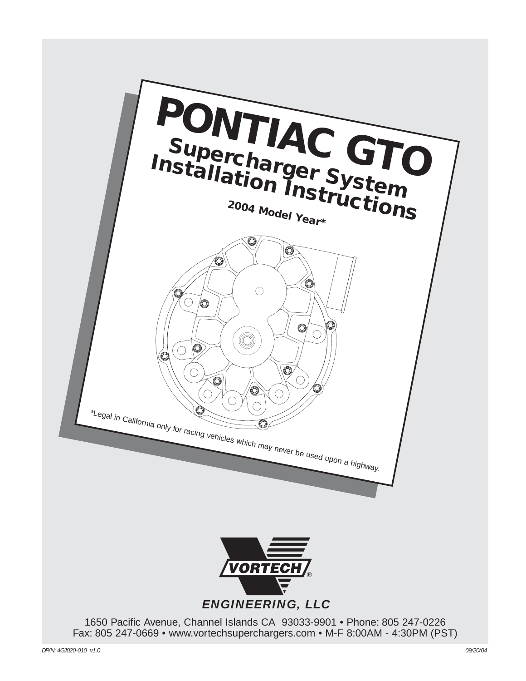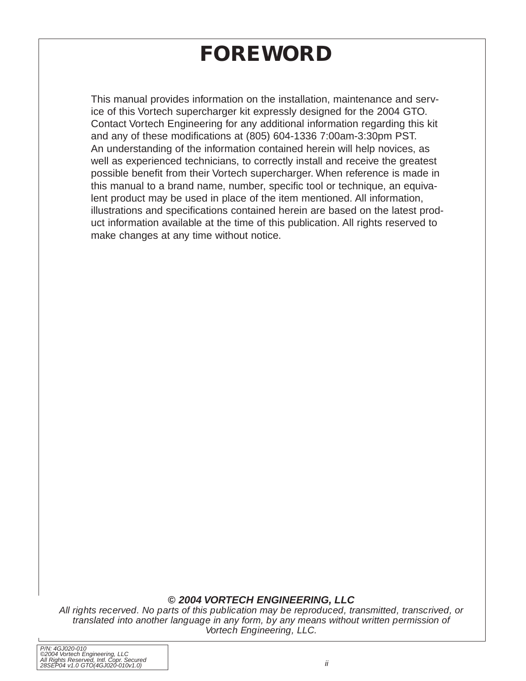# **FOREWORD**

This manual provides information on the installation, maintenance and service of this Vortech supercharger kit expressly designed for the 2004 GTO. Contact Vortech Engineering for any additional information regarding this kit and any of these modifications at (805) 604-1336 7:00am-3:30pm PST. An understanding of the information contained herein will help novices, as well as experienced technicians, to correctly install and receive the greatest possible benefit from their Vortech supercharger. When reference is made in this manual to a brand name, number, specific tool or technique, an equivalent product may be used in place of the item mentioned. All information, illustrations and specifications contained herein are based on the latest product information available at the time of this publication. All rights reserved to make changes at any time without notice.

#### **© 2004 VORTECH ENGINEERING, LLC**

*All rights recerved. No parts of this publication may be reproduced, transmitted, transcrived, or translated into another language in any form, by any means without written permission of Vortech Engineering, LLC.*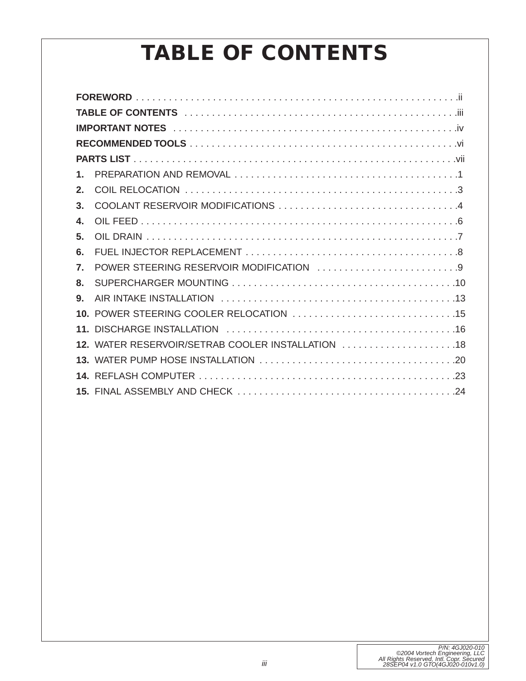# **TABLE OF CONTENTS**

| 1.             |                                                    |  |  |  |  |  |  |
|----------------|----------------------------------------------------|--|--|--|--|--|--|
| 2.             |                                                    |  |  |  |  |  |  |
| 3.             | COOLANT RESERVOIR MODIFICATIONS  4                 |  |  |  |  |  |  |
| 4.             |                                                    |  |  |  |  |  |  |
| 5.             |                                                    |  |  |  |  |  |  |
| 6.             |                                                    |  |  |  |  |  |  |
| $\mathbf{7}$   |                                                    |  |  |  |  |  |  |
| 8.             |                                                    |  |  |  |  |  |  |
| 9 <sub>1</sub> |                                                    |  |  |  |  |  |  |
|                |                                                    |  |  |  |  |  |  |
|                |                                                    |  |  |  |  |  |  |
|                | 12. WATER RESERVOIR/SETRAB COOLER INSTALLATION  18 |  |  |  |  |  |  |
|                |                                                    |  |  |  |  |  |  |
|                |                                                    |  |  |  |  |  |  |
|                |                                                    |  |  |  |  |  |  |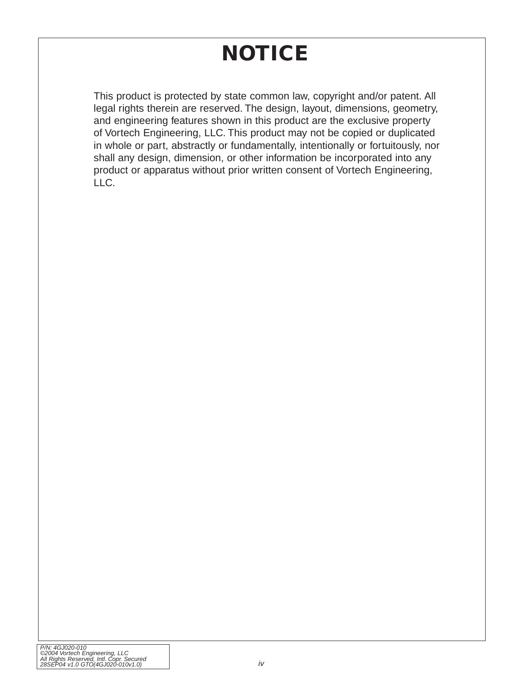# **NOTICE**

This product is protected by state common law, copyright and/or patent. All legal rights therein are reserved. The design, layout, dimensions, geometry, and engineering features shown in this product are the exclusive property of Vortech Engineering, LLC. This product may not be copied or duplicated in whole or part, abstractly or fundamentally, intentionally or fortuitously, nor shall any design, dimension, or other information be incorporated into any product or apparatus without prior written consent of Vortech Engineering, LLC.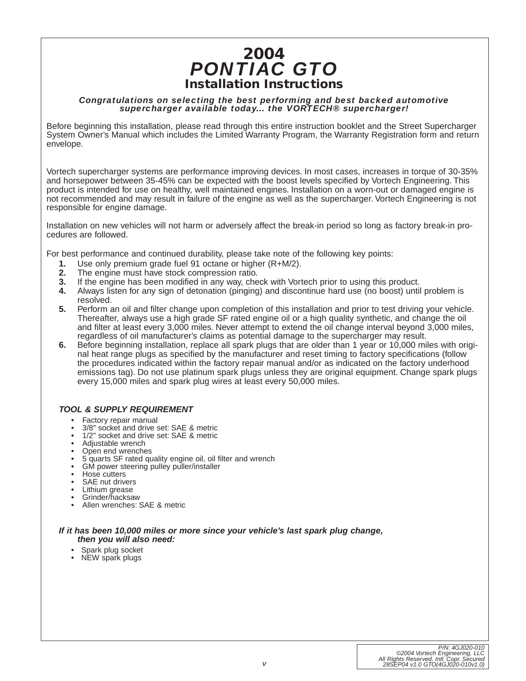### **2004** *PONTIAC GTO* **Installation Instructions**

## *Congratulations on selecting the best performing and best backed automotive supercharger available today... the VORTECH® supercharger!*

Before beginning this installation, please read through this entire instruction booklet and the Street Supercharger System Owner's Manual which includes the Limited Warranty Program, the Warranty Registration form and return envelope.

Vortech supercharger systems are performance improving devices. In most cases, increases in torque of 30-35% and horsepower between 35-45% can be expected with the boost levels specified by Vortech Engineering. This product is intended for use on healthy, well maintained engines. Installation on a worn-out or damaged engine is not recommended and may result in failure of the engine as well as the supercharger. Vortech Engineering is not responsible for engine damage.

Installation on new vehicles will not harm or adversely affect the break-in period so long as factory break-in procedures are followed.

For best performance and continued durability, please take note of the following key points:

- **1.** Use only premium grade fuel 91 octane or higher (R+M/2).
- **2.** The engine must have stock compression ratio.
- **3.** If the engine has been modified in any way, check with Vortech prior to using this product.
- **4.** Always listen for any sign of detonation (pinging) and discontinue hard use (no boost) until problem is resolved.
- **5.** Perform an oil and filter change upon completion of this installation and prior to test driving your vehicle. Thereafter, always use a high grade SF rated engine oil or a high quality synthetic, and change the oil and filter at least every 3,000 miles. Never attempt to extend the oil change interval beyond 3,000 miles, regardless of oil manufacturer's claims as potential damage to the supercharger may result.
- **6.** Before beginning installation, replace all spark plugs that are older than 1 year or 10,000 miles with original heat range plugs as specified by the manufacturer and reset timing to factory specifications (follow the procedures indicated within the factory repair manual and/or as indicated on the factory underhood emissions tag). Do not use platinum spark plugs unless they are original equipment. Change spark plugs every 15,000 miles and spark plug wires at least every 50,000 miles.

#### **TOOL & SUPPLY REQUIREMENT**

- **•** Factory repair manual
- **•** 3/8" socket and drive set: SAE & metric
- **•** 1/2" socket and drive set: SAE & metric
- **•** Adjustable wrench
- **•** Open end wrenches
- **•** 5 quarts SF rated quality engine oil, oil filter and wrench
- **•** GM power steering pulley puller/installer
- **•** Hose cutters
- SAE nut drivers<br>• Lithium grease
- **•** Lithium grease
- **•** Grinder/hacksaw
- **•** Allen wrenches: SAE & metric

#### **If it has been 10,000 miles or more since your vehicle's last spark plug change, then you will also need:**

- **•** Spark plug socket **•** NEW spark plugs
-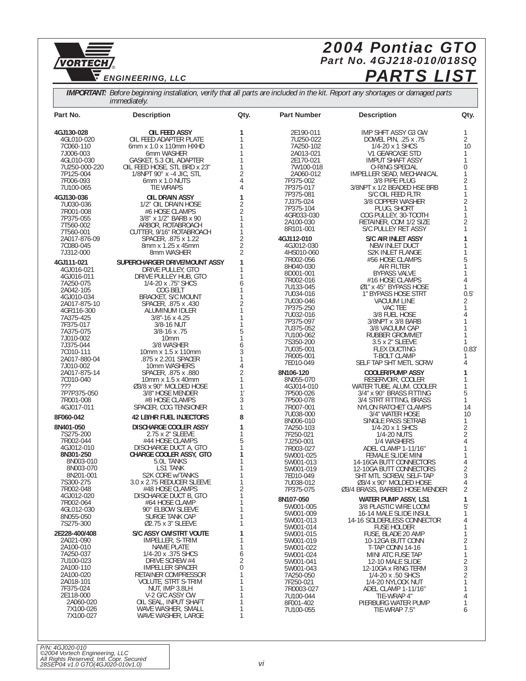

### *2004 Pontiac GTO Part No. 4GJ218-010/018SQ* ® *ENGINEERING, LLC PARTS LIST*

*IMPORTANT: Before beginning installation, verify that all parts are included in the kit. Report any shortages or damaged parts immediately.*

| 4GJ130-028<br>OIL FEED ASSY<br>IMP SHFT ASSY G3 GW<br>1<br>2E190-011<br>1<br>$\overline{2}$<br>1<br>DOWEL PIN, .25 x .75<br>4GL010-020<br>OIL FEED ADAPTER PLATE<br>7U250-022<br>7C060-110<br>6mm x 1.0 x 110mm HXHD<br>1<br>7A250-102<br>1/4-20 x 1 SHCS<br>10<br>7J006-003<br>6mm WASHER<br>1<br>2A013-021<br>V1 GEARCASE STD<br>1<br>GASKET, 5.3 OIL ADAPTER<br>1<br>4GL010-030<br>2E170-021<br>IMPUT SHAFT ASSY<br>1<br>7U250-000-220<br>OIL FEED HOSE, STL BRD x 23"<br>1<br>7W100-018<br><b>O-RING SPECIAL</b><br>0<br>2<br>7P125-004<br>2A060-012<br>IMPELLER SEAD, MECHANICAL<br>1<br>$1/8$ NPT 90 $^{\circ}$ x -4 JIC, STL<br>4<br>2<br>7F006-093<br>6mm x 1.0 NUTS<br>7P375-002<br>3/8 PIPE PLUG<br>3/8NPT x 1/2 BEADED HSE BRB<br>7U100-065<br><b>TIE WRAPS</b><br>4<br>7P375-017<br>1<br>1<br>7P375-081<br>S/C OIL FEED FLTR<br>4GJ130-036<br>OIL DRAIN ASSY<br>1<br>$\overline{2}$<br>3/8 COPPER WASHER<br>7J375-024<br>$\overline{c}$<br>7U030-036<br>1/2" OIL DRAIN HOSE<br>7P375-104<br>PLUG, SHORT<br>$\overline{2}$<br>7R001-008<br>#6 HOSE CLAMPS<br>1<br>COG PULLEY, 30-TOOTH<br>4GR033-030<br>1<br>7P375-055<br>3/8" x 1/2" BARB x 90<br>2<br>2A100-030<br>RETAINER, COM 1/2 SIZE<br>7T560-002<br>ARBOR, ROTABROACH<br>1<br>8R101-001<br>S/C PULLEY RET ASSY<br>1<br>1<br>7T560-001<br>CUTTER, 9/16" ROTABROACH<br>$\overline{\mathbf{c}}$<br>SPACER, .875 x 1.22<br>4GJ112-010<br>S/C AIR INLET ASSY<br>2A017-876-09<br>1<br>$\overline{2}$<br>7C080-045<br>8mm x 1.25 x 45mm<br>4GJ012-030<br>NEW INLET DUCT<br>1<br>$\overline{2}$<br>1<br>7J312-000<br>8mm WASHER<br>4HS010-060<br>S2K INLET FLANGE<br>5<br>#56 HOSE CLAMPS<br>7R002-056<br>1<br>4GJ111-021<br>SUPERCHARGER DRIVE/MOUNT ASSY<br>8H040-030<br>AIR FILTER<br>DRIVE PULLEY, GTO<br>1<br>4GJ016-021<br><b>BYPASS VALVE</b><br>8D001-001<br>DRIVE PULLEY HUB, GTO<br>1<br>4GJ016-011<br>7R002-016<br>#16 HOSE CLAMPS<br>4<br>1/4-20 x .75" SHCS<br>7A250-075<br>6<br>Ø1" x 45° BYPASS HOSE<br>7U133-045<br>1<br>1<br>2A042-105<br>COG BELT<br>0.5'<br>7U034-016<br>1" BYPASS HOSE STRT<br>4GJ010-034<br><b>BRACKET, S/C MOUNT</b><br>1<br>7U030-046<br><b>VACUUM LINE</b><br>2<br>2<br>SPACER, .875 x .430<br>2A017-875-10<br>7P375-250<br>VAC TEE<br>1<br>1<br>4GR116-300<br>ALUMINUM IDLER<br>7U032-016<br>3/8 FUEL HOSE<br>4<br>7A375-425<br>$3/8$ "-16 x 4.25<br>1<br>7P375-097<br>3/8NPT x 3/8 BARB<br>7F375-017<br>3/8-16 NUT<br>1<br>7U375-052<br>3/8 VACUUM CAP<br>5<br>7A375-075<br>$3/8 - 16 \times .75$<br>7U100-062<br>RUBBER GROMMET<br>7J010-002<br>1<br>10 <sub>mm</sub><br>7S350-200<br>3.5 x 2" SLEEVE<br>7J375-044<br>3/8 WASHER<br>6<br>0.83'<br>7U035-001<br><b>FLEX DUCTING</b><br>3<br>7C010-111<br>10mm x 1.5 x 110mm<br>7R005-001<br><b>T-BOLT CLAMP</b><br>2A017-880-04<br>.875 x 2.201 SPACER<br>1<br>SELF TAP SHT METL SCRW<br>7E010-049<br>4<br>10mm WASHERS<br>7J010-002<br>4<br>2<br>8N106-120<br><b>COOLER/PUMP ASSY</b><br>2A017-875-14<br>SPACER, .875 x .880<br>7C010-040<br>1<br>10mm x 1.5 x 40mm<br>8N055-070<br>RESERVOIR, COOLER<br>???<br>Ø3/8 x 90° MOLDED HOSE<br>1<br>WATER TUBE, ALUM. COOLER<br>1<br>4GJ014-010<br>$1^{\circ}$<br>5<br>7P7P375-050<br>3/8" HOSE MENDER<br>7P500-026<br>3/4" x 90° BRASS FITTING<br>#8 HOSE CLAMPS<br>3<br>7P500-078<br>3/4 STRT FITTING, BRASS<br>7R001-008<br>1<br>1<br>7R007-001<br>NYLON RATCHET CLAMPS<br>14<br>4GJ017-011<br>SPACER, COG TENSIONER<br>10<br>7U038-000<br>3/4" WATER HOSE<br>8<br>8F060-042<br><b>42 LB/HR FUEL INJECTORS</b><br>SINGLE PASS SETRAB<br>8N006-010<br>1<br>1<br><b>DISCHARGE COOLER ASSY</b><br>8N401-050<br>2<br>1/4-20 x 1 SHCS<br>7A250-103<br>1<br>2<br>7S275-200<br>2.75 x 2" SLEEVE<br>7F250-021<br>1/4-20 NUTS<br>5<br>#44 HOSE CLAMPS<br>7R002-044<br>7J250-001<br>1/4 WASHERS<br>4<br>1<br>4GJ012-010<br>DISCHARGE DUCT A, GTO<br>ADEL CLAMP 1-11/16"<br>7R003-027<br>8N301-250<br><b>CHARGE COOLER ASSY, GTO</b><br>1<br>FEMALE SLIDE MINI<br>5W001-025<br>8N003-010<br>5.0L TANKS<br>1<br>14-16GA BUTT CONNECTORS<br>5W001-013<br>8N003-070<br>LS1 TANK<br>$\overline{\mathbf{c}}$<br>12-10GA BUTT CONNECTORS<br>5W001-019<br>3<br>8N201-001<br>S2K CORE w/TANKS<br>SHT MTL SCREW, SELF-TAP<br>7E010-049<br>7S300-275<br>3.0 x 2.75 REDUCER SLEEVE<br>1<br>7U038-012<br>Ø3/4 x 90° MOLDED HOSE<br>4<br>2<br>7R002-048<br>#48 HOSE CLAMPS<br>2<br>7P375-075<br>Ø3/4 BRASS, BARBED HOSE MENDER<br>DISCHARGE DUCT B, GTO<br>4GJ012-020<br>8N107-050<br><b>WATER PUMP ASSY, LS1</b><br>1<br>7R002-064<br>#64 HOSE CLAMP<br>1<br>5'<br>5W001-005<br>3/8 PLASTIC WIRE LOOM<br>4GL012-030<br>90° ELBOW SLEEVE<br>1<br>16-14 MALE SLIDE INSUL<br>5W001-009<br>1<br>8N055-050<br>SURGE TANK CAP<br>1<br>5W001-013<br>14-16 SOLDERLESS CONNECTOR<br>4<br>7S275-300<br>02.75 x 3" SLEEVE<br>1<br><b>FUSE HOLDER</b><br>5W001-014<br>1<br>S/C ASSY CW/STRT VOUTE<br>2E228-400/408<br>1<br>5W001-015<br>FUSE, BLADE 20 AMP<br>2A021-090<br>IMPELLER, S-TRIM<br>1<br>2<br>5W001-019<br>10-12GA BUTT CONN<br>2A100-010<br>NAME PLATE<br>1<br>1<br>5W001-022<br>T-TAP CONN 14-16<br>7A250-037<br>1/4-20 x .375 SHCS<br>6<br>1<br>5W001-024<br>MINI ATC FUSE TAP<br>$\frac{2}{3}$<br>2<br>7U100-023<br>DRIVE SCREW #4<br>5W001-041<br>12-10 MALE SLIDE<br>0<br>2A100-110<br><b>IMPELLER SPACER</b><br>5W001-043<br>12-10GA x RING TERM<br>$\overline{c}$<br>2A100-020<br>RETAINER COMPRESSOR<br>1<br>7A250-050<br>1/4-20 x .50 SHCS<br>2A018-101<br>VOLUTE, STRT S-TRIM<br>1<br>1/4-20 NYLOCK NUT<br>1<br>7F250-021<br>7F375-024<br>NUT, IMP 3.8LH<br>1<br>7R0003-027<br>ADEL CLAMP 1-11/16"<br>2E118-000<br>V-2 G/C ASSY CW<br>1<br>7U100-044<br>TIE-WRAP 4"<br>4<br>OIL SEAL, INPUT SHAFT<br>1<br>2A060-020<br>PIERBURG WATER PUMP<br>8F001-402<br>1<br>7X100-026<br>WAVE WASHER, SMALL<br>1<br>7U100-055<br>TIE-WRAP 7.5"<br>6<br>7X100-027<br>1<br>WAVE WASHER, LARGE | Part No. | <b>Description</b> | Qty. | <b>Part Number</b> | <b>Description</b> | Qty. |
|------------------------------------------------------------------------------------------------------------------------------------------------------------------------------------------------------------------------------------------------------------------------------------------------------------------------------------------------------------------------------------------------------------------------------------------------------------------------------------------------------------------------------------------------------------------------------------------------------------------------------------------------------------------------------------------------------------------------------------------------------------------------------------------------------------------------------------------------------------------------------------------------------------------------------------------------------------------------------------------------------------------------------------------------------------------------------------------------------------------------------------------------------------------------------------------------------------------------------------------------------------------------------------------------------------------------------------------------------------------------------------------------------------------------------------------------------------------------------------------------------------------------------------------------------------------------------------------------------------------------------------------------------------------------------------------------------------------------------------------------------------------------------------------------------------------------------------------------------------------------------------------------------------------------------------------------------------------------------------------------------------------------------------------------------------------------------------------------------------------------------------------------------------------------------------------------------------------------------------------------------------------------------------------------------------------------------------------------------------------------------------------------------------------------------------------------------------------------------------------------------------------------------------------------------------------------------------------------------------------------------------------------------------------------------------------------------------------------------------------------------------------------------------------------------------------------------------------------------------------------------------------------------------------------------------------------------------------------------------------------------------------------------------------------------------------------------------------------------------------------------------------------------------------------------------------------------------------------------------------------------------------------------------------------------------------------------------------------------------------------------------------------------------------------------------------------------------------------------------------------------------------------------------------------------------------------------------------------------------------------------------------------------------------------------------------------------------------------------------------------------------------------------------------------------------------------------------------------------------------------------------------------------------------------------------------------------------------------------------------------------------------------------------------------------------------------------------------------------------------------------------------------------------------------------------------------------------------------------------------------------------------------------------------------------------------------------------------------------------------------------------------------------------------------------------------------------------------------------------------------------------------------------------------------------------------------------------------------------------------------------------------------------------------------------------------------------------------------------------------------------------------------------------------------------------------------------------------------------------------------------------------------------------------------------------------------------------------------------------------------------------------------------------------------------------------------------------------------------------------------------------------------------------------------------------------------------------------------------------------------------------------------------------------------------------------------------------------------------------------------------------------------------------------------------------------------------------------------------------------------------------------------------------------------------------------------------------------------------------------------------------------------------------------------------------------------------------------------------------------------------------------------------------------------------------------------------------------------------------------------|----------|--------------------|------|--------------------|--------------------|------|
|                                                                                                                                                                                                                                                                                                                                                                                                                                                                                                                                                                                                                                                                                                                                                                                                                                                                                                                                                                                                                                                                                                                                                                                                                                                                                                                                                                                                                                                                                                                                                                                                                                                                                                                                                                                                                                                                                                                                                                                                                                                                                                                                                                                                                                                                                                                                                                                                                                                                                                                                                                                                                                                                                                                                                                                                                                                                                                                                                                                                                                                                                                                                                                                                                                                                                                                                                                                                                                                                                                                                                                                                                                                                                                                                                                                                                                                                                                                                                                                                                                                                                                                                                                                                                                                                                                                                                                                                                                                                                                                                                                                                                                                                                                                                                                                                                                                                                                                                                                                                                                                                                                                                                                                                                                                                                                                                                                                                                                                                                                                                                                                                                                                                                                                                                                                                                                                                        |          |                    |      |                    |                    |      |
|                                                                                                                                                                                                                                                                                                                                                                                                                                                                                                                                                                                                                                                                                                                                                                                                                                                                                                                                                                                                                                                                                                                                                                                                                                                                                                                                                                                                                                                                                                                                                                                                                                                                                                                                                                                                                                                                                                                                                                                                                                                                                                                                                                                                                                                                                                                                                                                                                                                                                                                                                                                                                                                                                                                                                                                                                                                                                                                                                                                                                                                                                                                                                                                                                                                                                                                                                                                                                                                                                                                                                                                                                                                                                                                                                                                                                                                                                                                                                                                                                                                                                                                                                                                                                                                                                                                                                                                                                                                                                                                                                                                                                                                                                                                                                                                                                                                                                                                                                                                                                                                                                                                                                                                                                                                                                                                                                                                                                                                                                                                                                                                                                                                                                                                                                                                                                                                                        |          |                    |      |                    |                    |      |
|                                                                                                                                                                                                                                                                                                                                                                                                                                                                                                                                                                                                                                                                                                                                                                                                                                                                                                                                                                                                                                                                                                                                                                                                                                                                                                                                                                                                                                                                                                                                                                                                                                                                                                                                                                                                                                                                                                                                                                                                                                                                                                                                                                                                                                                                                                                                                                                                                                                                                                                                                                                                                                                                                                                                                                                                                                                                                                                                                                                                                                                                                                                                                                                                                                                                                                                                                                                                                                                                                                                                                                                                                                                                                                                                                                                                                                                                                                                                                                                                                                                                                                                                                                                                                                                                                                                                                                                                                                                                                                                                                                                                                                                                                                                                                                                                                                                                                                                                                                                                                                                                                                                                                                                                                                                                                                                                                                                                                                                                                                                                                                                                                                                                                                                                                                                                                                                                        |          |                    |      |                    |                    |      |
|                                                                                                                                                                                                                                                                                                                                                                                                                                                                                                                                                                                                                                                                                                                                                                                                                                                                                                                                                                                                                                                                                                                                                                                                                                                                                                                                                                                                                                                                                                                                                                                                                                                                                                                                                                                                                                                                                                                                                                                                                                                                                                                                                                                                                                                                                                                                                                                                                                                                                                                                                                                                                                                                                                                                                                                                                                                                                                                                                                                                                                                                                                                                                                                                                                                                                                                                                                                                                                                                                                                                                                                                                                                                                                                                                                                                                                                                                                                                                                                                                                                                                                                                                                                                                                                                                                                                                                                                                                                                                                                                                                                                                                                                                                                                                                                                                                                                                                                                                                                                                                                                                                                                                                                                                                                                                                                                                                                                                                                                                                                                                                                                                                                                                                                                                                                                                                                                        |          |                    |      |                    |                    |      |
|                                                                                                                                                                                                                                                                                                                                                                                                                                                                                                                                                                                                                                                                                                                                                                                                                                                                                                                                                                                                                                                                                                                                                                                                                                                                                                                                                                                                                                                                                                                                                                                                                                                                                                                                                                                                                                                                                                                                                                                                                                                                                                                                                                                                                                                                                                                                                                                                                                                                                                                                                                                                                                                                                                                                                                                                                                                                                                                                                                                                                                                                                                                                                                                                                                                                                                                                                                                                                                                                                                                                                                                                                                                                                                                                                                                                                                                                                                                                                                                                                                                                                                                                                                                                                                                                                                                                                                                                                                                                                                                                                                                                                                                                                                                                                                                                                                                                                                                                                                                                                                                                                                                                                                                                                                                                                                                                                                                                                                                                                                                                                                                                                                                                                                                                                                                                                                                                        |          |                    |      |                    |                    |      |
|                                                                                                                                                                                                                                                                                                                                                                                                                                                                                                                                                                                                                                                                                                                                                                                                                                                                                                                                                                                                                                                                                                                                                                                                                                                                                                                                                                                                                                                                                                                                                                                                                                                                                                                                                                                                                                                                                                                                                                                                                                                                                                                                                                                                                                                                                                                                                                                                                                                                                                                                                                                                                                                                                                                                                                                                                                                                                                                                                                                                                                                                                                                                                                                                                                                                                                                                                                                                                                                                                                                                                                                                                                                                                                                                                                                                                                                                                                                                                                                                                                                                                                                                                                                                                                                                                                                                                                                                                                                                                                                                                                                                                                                                                                                                                                                                                                                                                                                                                                                                                                                                                                                                                                                                                                                                                                                                                                                                                                                                                                                                                                                                                                                                                                                                                                                                                                                                        |          |                    |      |                    |                    |      |
|                                                                                                                                                                                                                                                                                                                                                                                                                                                                                                                                                                                                                                                                                                                                                                                                                                                                                                                                                                                                                                                                                                                                                                                                                                                                                                                                                                                                                                                                                                                                                                                                                                                                                                                                                                                                                                                                                                                                                                                                                                                                                                                                                                                                                                                                                                                                                                                                                                                                                                                                                                                                                                                                                                                                                                                                                                                                                                                                                                                                                                                                                                                                                                                                                                                                                                                                                                                                                                                                                                                                                                                                                                                                                                                                                                                                                                                                                                                                                                                                                                                                                                                                                                                                                                                                                                                                                                                                                                                                                                                                                                                                                                                                                                                                                                                                                                                                                                                                                                                                                                                                                                                                                                                                                                                                                                                                                                                                                                                                                                                                                                                                                                                                                                                                                                                                                                                                        |          |                    |      |                    |                    |      |
|                                                                                                                                                                                                                                                                                                                                                                                                                                                                                                                                                                                                                                                                                                                                                                                                                                                                                                                                                                                                                                                                                                                                                                                                                                                                                                                                                                                                                                                                                                                                                                                                                                                                                                                                                                                                                                                                                                                                                                                                                                                                                                                                                                                                                                                                                                                                                                                                                                                                                                                                                                                                                                                                                                                                                                                                                                                                                                                                                                                                                                                                                                                                                                                                                                                                                                                                                                                                                                                                                                                                                                                                                                                                                                                                                                                                                                                                                                                                                                                                                                                                                                                                                                                                                                                                                                                                                                                                                                                                                                                                                                                                                                                                                                                                                                                                                                                                                                                                                                                                                                                                                                                                                                                                                                                                                                                                                                                                                                                                                                                                                                                                                                                                                                                                                                                                                                                                        |          |                    |      |                    |                    |      |
|                                                                                                                                                                                                                                                                                                                                                                                                                                                                                                                                                                                                                                                                                                                                                                                                                                                                                                                                                                                                                                                                                                                                                                                                                                                                                                                                                                                                                                                                                                                                                                                                                                                                                                                                                                                                                                                                                                                                                                                                                                                                                                                                                                                                                                                                                                                                                                                                                                                                                                                                                                                                                                                                                                                                                                                                                                                                                                                                                                                                                                                                                                                                                                                                                                                                                                                                                                                                                                                                                                                                                                                                                                                                                                                                                                                                                                                                                                                                                                                                                                                                                                                                                                                                                                                                                                                                                                                                                                                                                                                                                                                                                                                                                                                                                                                                                                                                                                                                                                                                                                                                                                                                                                                                                                                                                                                                                                                                                                                                                                                                                                                                                                                                                                                                                                                                                                                                        |          |                    |      |                    |                    |      |
|                                                                                                                                                                                                                                                                                                                                                                                                                                                                                                                                                                                                                                                                                                                                                                                                                                                                                                                                                                                                                                                                                                                                                                                                                                                                                                                                                                                                                                                                                                                                                                                                                                                                                                                                                                                                                                                                                                                                                                                                                                                                                                                                                                                                                                                                                                                                                                                                                                                                                                                                                                                                                                                                                                                                                                                                                                                                                                                                                                                                                                                                                                                                                                                                                                                                                                                                                                                                                                                                                                                                                                                                                                                                                                                                                                                                                                                                                                                                                                                                                                                                                                                                                                                                                                                                                                                                                                                                                                                                                                                                                                                                                                                                                                                                                                                                                                                                                                                                                                                                                                                                                                                                                                                                                                                                                                                                                                                                                                                                                                                                                                                                                                                                                                                                                                                                                                                                        |          |                    |      |                    |                    |      |
|                                                                                                                                                                                                                                                                                                                                                                                                                                                                                                                                                                                                                                                                                                                                                                                                                                                                                                                                                                                                                                                                                                                                                                                                                                                                                                                                                                                                                                                                                                                                                                                                                                                                                                                                                                                                                                                                                                                                                                                                                                                                                                                                                                                                                                                                                                                                                                                                                                                                                                                                                                                                                                                                                                                                                                                                                                                                                                                                                                                                                                                                                                                                                                                                                                                                                                                                                                                                                                                                                                                                                                                                                                                                                                                                                                                                                                                                                                                                                                                                                                                                                                                                                                                                                                                                                                                                                                                                                                                                                                                                                                                                                                                                                                                                                                                                                                                                                                                                                                                                                                                                                                                                                                                                                                                                                                                                                                                                                                                                                                                                                                                                                                                                                                                                                                                                                                                                        |          |                    |      |                    |                    |      |
|                                                                                                                                                                                                                                                                                                                                                                                                                                                                                                                                                                                                                                                                                                                                                                                                                                                                                                                                                                                                                                                                                                                                                                                                                                                                                                                                                                                                                                                                                                                                                                                                                                                                                                                                                                                                                                                                                                                                                                                                                                                                                                                                                                                                                                                                                                                                                                                                                                                                                                                                                                                                                                                                                                                                                                                                                                                                                                                                                                                                                                                                                                                                                                                                                                                                                                                                                                                                                                                                                                                                                                                                                                                                                                                                                                                                                                                                                                                                                                                                                                                                                                                                                                                                                                                                                                                                                                                                                                                                                                                                                                                                                                                                                                                                                                                                                                                                                                                                                                                                                                                                                                                                                                                                                                                                                                                                                                                                                                                                                                                                                                                                                                                                                                                                                                                                                                                                        |          |                    |      |                    |                    |      |
|                                                                                                                                                                                                                                                                                                                                                                                                                                                                                                                                                                                                                                                                                                                                                                                                                                                                                                                                                                                                                                                                                                                                                                                                                                                                                                                                                                                                                                                                                                                                                                                                                                                                                                                                                                                                                                                                                                                                                                                                                                                                                                                                                                                                                                                                                                                                                                                                                                                                                                                                                                                                                                                                                                                                                                                                                                                                                                                                                                                                                                                                                                                                                                                                                                                                                                                                                                                                                                                                                                                                                                                                                                                                                                                                                                                                                                                                                                                                                                                                                                                                                                                                                                                                                                                                                                                                                                                                                                                                                                                                                                                                                                                                                                                                                                                                                                                                                                                                                                                                                                                                                                                                                                                                                                                                                                                                                                                                                                                                                                                                                                                                                                                                                                                                                                                                                                                                        |          |                    |      |                    |                    |      |
|                                                                                                                                                                                                                                                                                                                                                                                                                                                                                                                                                                                                                                                                                                                                                                                                                                                                                                                                                                                                                                                                                                                                                                                                                                                                                                                                                                                                                                                                                                                                                                                                                                                                                                                                                                                                                                                                                                                                                                                                                                                                                                                                                                                                                                                                                                                                                                                                                                                                                                                                                                                                                                                                                                                                                                                                                                                                                                                                                                                                                                                                                                                                                                                                                                                                                                                                                                                                                                                                                                                                                                                                                                                                                                                                                                                                                                                                                                                                                                                                                                                                                                                                                                                                                                                                                                                                                                                                                                                                                                                                                                                                                                                                                                                                                                                                                                                                                                                                                                                                                                                                                                                                                                                                                                                                                                                                                                                                                                                                                                                                                                                                                                                                                                                                                                                                                                                                        |          |                    |      |                    |                    |      |
|                                                                                                                                                                                                                                                                                                                                                                                                                                                                                                                                                                                                                                                                                                                                                                                                                                                                                                                                                                                                                                                                                                                                                                                                                                                                                                                                                                                                                                                                                                                                                                                                                                                                                                                                                                                                                                                                                                                                                                                                                                                                                                                                                                                                                                                                                                                                                                                                                                                                                                                                                                                                                                                                                                                                                                                                                                                                                                                                                                                                                                                                                                                                                                                                                                                                                                                                                                                                                                                                                                                                                                                                                                                                                                                                                                                                                                                                                                                                                                                                                                                                                                                                                                                                                                                                                                                                                                                                                                                                                                                                                                                                                                                                                                                                                                                                                                                                                                                                                                                                                                                                                                                                                                                                                                                                                                                                                                                                                                                                                                                                                                                                                                                                                                                                                                                                                                                                        |          |                    |      |                    |                    |      |
|                                                                                                                                                                                                                                                                                                                                                                                                                                                                                                                                                                                                                                                                                                                                                                                                                                                                                                                                                                                                                                                                                                                                                                                                                                                                                                                                                                                                                                                                                                                                                                                                                                                                                                                                                                                                                                                                                                                                                                                                                                                                                                                                                                                                                                                                                                                                                                                                                                                                                                                                                                                                                                                                                                                                                                                                                                                                                                                                                                                                                                                                                                                                                                                                                                                                                                                                                                                                                                                                                                                                                                                                                                                                                                                                                                                                                                                                                                                                                                                                                                                                                                                                                                                                                                                                                                                                                                                                                                                                                                                                                                                                                                                                                                                                                                                                                                                                                                                                                                                                                                                                                                                                                                                                                                                                                                                                                                                                                                                                                                                                                                                                                                                                                                                                                                                                                                                                        |          |                    |      |                    |                    |      |
|                                                                                                                                                                                                                                                                                                                                                                                                                                                                                                                                                                                                                                                                                                                                                                                                                                                                                                                                                                                                                                                                                                                                                                                                                                                                                                                                                                                                                                                                                                                                                                                                                                                                                                                                                                                                                                                                                                                                                                                                                                                                                                                                                                                                                                                                                                                                                                                                                                                                                                                                                                                                                                                                                                                                                                                                                                                                                                                                                                                                                                                                                                                                                                                                                                                                                                                                                                                                                                                                                                                                                                                                                                                                                                                                                                                                                                                                                                                                                                                                                                                                                                                                                                                                                                                                                                                                                                                                                                                                                                                                                                                                                                                                                                                                                                                                                                                                                                                                                                                                                                                                                                                                                                                                                                                                                                                                                                                                                                                                                                                                                                                                                                                                                                                                                                                                                                                                        |          |                    |      |                    |                    |      |
|                                                                                                                                                                                                                                                                                                                                                                                                                                                                                                                                                                                                                                                                                                                                                                                                                                                                                                                                                                                                                                                                                                                                                                                                                                                                                                                                                                                                                                                                                                                                                                                                                                                                                                                                                                                                                                                                                                                                                                                                                                                                                                                                                                                                                                                                                                                                                                                                                                                                                                                                                                                                                                                                                                                                                                                                                                                                                                                                                                                                                                                                                                                                                                                                                                                                                                                                                                                                                                                                                                                                                                                                                                                                                                                                                                                                                                                                                                                                                                                                                                                                                                                                                                                                                                                                                                                                                                                                                                                                                                                                                                                                                                                                                                                                                                                                                                                                                                                                                                                                                                                                                                                                                                                                                                                                                                                                                                                                                                                                                                                                                                                                                                                                                                                                                                                                                                                                        |          |                    |      |                    |                    |      |
|                                                                                                                                                                                                                                                                                                                                                                                                                                                                                                                                                                                                                                                                                                                                                                                                                                                                                                                                                                                                                                                                                                                                                                                                                                                                                                                                                                                                                                                                                                                                                                                                                                                                                                                                                                                                                                                                                                                                                                                                                                                                                                                                                                                                                                                                                                                                                                                                                                                                                                                                                                                                                                                                                                                                                                                                                                                                                                                                                                                                                                                                                                                                                                                                                                                                                                                                                                                                                                                                                                                                                                                                                                                                                                                                                                                                                                                                                                                                                                                                                                                                                                                                                                                                                                                                                                                                                                                                                                                                                                                                                                                                                                                                                                                                                                                                                                                                                                                                                                                                                                                                                                                                                                                                                                                                                                                                                                                                                                                                                                                                                                                                                                                                                                                                                                                                                                                                        |          |                    |      |                    |                    |      |
|                                                                                                                                                                                                                                                                                                                                                                                                                                                                                                                                                                                                                                                                                                                                                                                                                                                                                                                                                                                                                                                                                                                                                                                                                                                                                                                                                                                                                                                                                                                                                                                                                                                                                                                                                                                                                                                                                                                                                                                                                                                                                                                                                                                                                                                                                                                                                                                                                                                                                                                                                                                                                                                                                                                                                                                                                                                                                                                                                                                                                                                                                                                                                                                                                                                                                                                                                                                                                                                                                                                                                                                                                                                                                                                                                                                                                                                                                                                                                                                                                                                                                                                                                                                                                                                                                                                                                                                                                                                                                                                                                                                                                                                                                                                                                                                                                                                                                                                                                                                                                                                                                                                                                                                                                                                                                                                                                                                                                                                                                                                                                                                                                                                                                                                                                                                                                                                                        |          |                    |      |                    |                    |      |
|                                                                                                                                                                                                                                                                                                                                                                                                                                                                                                                                                                                                                                                                                                                                                                                                                                                                                                                                                                                                                                                                                                                                                                                                                                                                                                                                                                                                                                                                                                                                                                                                                                                                                                                                                                                                                                                                                                                                                                                                                                                                                                                                                                                                                                                                                                                                                                                                                                                                                                                                                                                                                                                                                                                                                                                                                                                                                                                                                                                                                                                                                                                                                                                                                                                                                                                                                                                                                                                                                                                                                                                                                                                                                                                                                                                                                                                                                                                                                                                                                                                                                                                                                                                                                                                                                                                                                                                                                                                                                                                                                                                                                                                                                                                                                                                                                                                                                                                                                                                                                                                                                                                                                                                                                                                                                                                                                                                                                                                                                                                                                                                                                                                                                                                                                                                                                                                                        |          |                    |      |                    |                    |      |
|                                                                                                                                                                                                                                                                                                                                                                                                                                                                                                                                                                                                                                                                                                                                                                                                                                                                                                                                                                                                                                                                                                                                                                                                                                                                                                                                                                                                                                                                                                                                                                                                                                                                                                                                                                                                                                                                                                                                                                                                                                                                                                                                                                                                                                                                                                                                                                                                                                                                                                                                                                                                                                                                                                                                                                                                                                                                                                                                                                                                                                                                                                                                                                                                                                                                                                                                                                                                                                                                                                                                                                                                                                                                                                                                                                                                                                                                                                                                                                                                                                                                                                                                                                                                                                                                                                                                                                                                                                                                                                                                                                                                                                                                                                                                                                                                                                                                                                                                                                                                                                                                                                                                                                                                                                                                                                                                                                                                                                                                                                                                                                                                                                                                                                                                                                                                                                                                        |          |                    |      |                    |                    |      |
|                                                                                                                                                                                                                                                                                                                                                                                                                                                                                                                                                                                                                                                                                                                                                                                                                                                                                                                                                                                                                                                                                                                                                                                                                                                                                                                                                                                                                                                                                                                                                                                                                                                                                                                                                                                                                                                                                                                                                                                                                                                                                                                                                                                                                                                                                                                                                                                                                                                                                                                                                                                                                                                                                                                                                                                                                                                                                                                                                                                                                                                                                                                                                                                                                                                                                                                                                                                                                                                                                                                                                                                                                                                                                                                                                                                                                                                                                                                                                                                                                                                                                                                                                                                                                                                                                                                                                                                                                                                                                                                                                                                                                                                                                                                                                                                                                                                                                                                                                                                                                                                                                                                                                                                                                                                                                                                                                                                                                                                                                                                                                                                                                                                                                                                                                                                                                                                                        |          |                    |      |                    |                    |      |
|                                                                                                                                                                                                                                                                                                                                                                                                                                                                                                                                                                                                                                                                                                                                                                                                                                                                                                                                                                                                                                                                                                                                                                                                                                                                                                                                                                                                                                                                                                                                                                                                                                                                                                                                                                                                                                                                                                                                                                                                                                                                                                                                                                                                                                                                                                                                                                                                                                                                                                                                                                                                                                                                                                                                                                                                                                                                                                                                                                                                                                                                                                                                                                                                                                                                                                                                                                                                                                                                                                                                                                                                                                                                                                                                                                                                                                                                                                                                                                                                                                                                                                                                                                                                                                                                                                                                                                                                                                                                                                                                                                                                                                                                                                                                                                                                                                                                                                                                                                                                                                                                                                                                                                                                                                                                                                                                                                                                                                                                                                                                                                                                                                                                                                                                                                                                                                                                        |          |                    |      |                    |                    |      |
|                                                                                                                                                                                                                                                                                                                                                                                                                                                                                                                                                                                                                                                                                                                                                                                                                                                                                                                                                                                                                                                                                                                                                                                                                                                                                                                                                                                                                                                                                                                                                                                                                                                                                                                                                                                                                                                                                                                                                                                                                                                                                                                                                                                                                                                                                                                                                                                                                                                                                                                                                                                                                                                                                                                                                                                                                                                                                                                                                                                                                                                                                                                                                                                                                                                                                                                                                                                                                                                                                                                                                                                                                                                                                                                                                                                                                                                                                                                                                                                                                                                                                                                                                                                                                                                                                                                                                                                                                                                                                                                                                                                                                                                                                                                                                                                                                                                                                                                                                                                                                                                                                                                                                                                                                                                                                                                                                                                                                                                                                                                                                                                                                                                                                                                                                                                                                                                                        |          |                    |      |                    |                    |      |
|                                                                                                                                                                                                                                                                                                                                                                                                                                                                                                                                                                                                                                                                                                                                                                                                                                                                                                                                                                                                                                                                                                                                                                                                                                                                                                                                                                                                                                                                                                                                                                                                                                                                                                                                                                                                                                                                                                                                                                                                                                                                                                                                                                                                                                                                                                                                                                                                                                                                                                                                                                                                                                                                                                                                                                                                                                                                                                                                                                                                                                                                                                                                                                                                                                                                                                                                                                                                                                                                                                                                                                                                                                                                                                                                                                                                                                                                                                                                                                                                                                                                                                                                                                                                                                                                                                                                                                                                                                                                                                                                                                                                                                                                                                                                                                                                                                                                                                                                                                                                                                                                                                                                                                                                                                                                                                                                                                                                                                                                                                                                                                                                                                                                                                                                                                                                                                                                        |          |                    |      |                    |                    |      |
|                                                                                                                                                                                                                                                                                                                                                                                                                                                                                                                                                                                                                                                                                                                                                                                                                                                                                                                                                                                                                                                                                                                                                                                                                                                                                                                                                                                                                                                                                                                                                                                                                                                                                                                                                                                                                                                                                                                                                                                                                                                                                                                                                                                                                                                                                                                                                                                                                                                                                                                                                                                                                                                                                                                                                                                                                                                                                                                                                                                                                                                                                                                                                                                                                                                                                                                                                                                                                                                                                                                                                                                                                                                                                                                                                                                                                                                                                                                                                                                                                                                                                                                                                                                                                                                                                                                                                                                                                                                                                                                                                                                                                                                                                                                                                                                                                                                                                                                                                                                                                                                                                                                                                                                                                                                                                                                                                                                                                                                                                                                                                                                                                                                                                                                                                                                                                                                                        |          |                    |      |                    |                    |      |
|                                                                                                                                                                                                                                                                                                                                                                                                                                                                                                                                                                                                                                                                                                                                                                                                                                                                                                                                                                                                                                                                                                                                                                                                                                                                                                                                                                                                                                                                                                                                                                                                                                                                                                                                                                                                                                                                                                                                                                                                                                                                                                                                                                                                                                                                                                                                                                                                                                                                                                                                                                                                                                                                                                                                                                                                                                                                                                                                                                                                                                                                                                                                                                                                                                                                                                                                                                                                                                                                                                                                                                                                                                                                                                                                                                                                                                                                                                                                                                                                                                                                                                                                                                                                                                                                                                                                                                                                                                                                                                                                                                                                                                                                                                                                                                                                                                                                                                                                                                                                                                                                                                                                                                                                                                                                                                                                                                                                                                                                                                                                                                                                                                                                                                                                                                                                                                                                        |          |                    |      |                    |                    |      |
|                                                                                                                                                                                                                                                                                                                                                                                                                                                                                                                                                                                                                                                                                                                                                                                                                                                                                                                                                                                                                                                                                                                                                                                                                                                                                                                                                                                                                                                                                                                                                                                                                                                                                                                                                                                                                                                                                                                                                                                                                                                                                                                                                                                                                                                                                                                                                                                                                                                                                                                                                                                                                                                                                                                                                                                                                                                                                                                                                                                                                                                                                                                                                                                                                                                                                                                                                                                                                                                                                                                                                                                                                                                                                                                                                                                                                                                                                                                                                                                                                                                                                                                                                                                                                                                                                                                                                                                                                                                                                                                                                                                                                                                                                                                                                                                                                                                                                                                                                                                                                                                                                                                                                                                                                                                                                                                                                                                                                                                                                                                                                                                                                                                                                                                                                                                                                                                                        |          |                    |      |                    |                    |      |
|                                                                                                                                                                                                                                                                                                                                                                                                                                                                                                                                                                                                                                                                                                                                                                                                                                                                                                                                                                                                                                                                                                                                                                                                                                                                                                                                                                                                                                                                                                                                                                                                                                                                                                                                                                                                                                                                                                                                                                                                                                                                                                                                                                                                                                                                                                                                                                                                                                                                                                                                                                                                                                                                                                                                                                                                                                                                                                                                                                                                                                                                                                                                                                                                                                                                                                                                                                                                                                                                                                                                                                                                                                                                                                                                                                                                                                                                                                                                                                                                                                                                                                                                                                                                                                                                                                                                                                                                                                                                                                                                                                                                                                                                                                                                                                                                                                                                                                                                                                                                                                                                                                                                                                                                                                                                                                                                                                                                                                                                                                                                                                                                                                                                                                                                                                                                                                                                        |          |                    |      |                    |                    |      |
|                                                                                                                                                                                                                                                                                                                                                                                                                                                                                                                                                                                                                                                                                                                                                                                                                                                                                                                                                                                                                                                                                                                                                                                                                                                                                                                                                                                                                                                                                                                                                                                                                                                                                                                                                                                                                                                                                                                                                                                                                                                                                                                                                                                                                                                                                                                                                                                                                                                                                                                                                                                                                                                                                                                                                                                                                                                                                                                                                                                                                                                                                                                                                                                                                                                                                                                                                                                                                                                                                                                                                                                                                                                                                                                                                                                                                                                                                                                                                                                                                                                                                                                                                                                                                                                                                                                                                                                                                                                                                                                                                                                                                                                                                                                                                                                                                                                                                                                                                                                                                                                                                                                                                                                                                                                                                                                                                                                                                                                                                                                                                                                                                                                                                                                                                                                                                                                                        |          |                    |      |                    |                    |      |
|                                                                                                                                                                                                                                                                                                                                                                                                                                                                                                                                                                                                                                                                                                                                                                                                                                                                                                                                                                                                                                                                                                                                                                                                                                                                                                                                                                                                                                                                                                                                                                                                                                                                                                                                                                                                                                                                                                                                                                                                                                                                                                                                                                                                                                                                                                                                                                                                                                                                                                                                                                                                                                                                                                                                                                                                                                                                                                                                                                                                                                                                                                                                                                                                                                                                                                                                                                                                                                                                                                                                                                                                                                                                                                                                                                                                                                                                                                                                                                                                                                                                                                                                                                                                                                                                                                                                                                                                                                                                                                                                                                                                                                                                                                                                                                                                                                                                                                                                                                                                                                                                                                                                                                                                                                                                                                                                                                                                                                                                                                                                                                                                                                                                                                                                                                                                                                                                        |          |                    |      |                    |                    |      |
|                                                                                                                                                                                                                                                                                                                                                                                                                                                                                                                                                                                                                                                                                                                                                                                                                                                                                                                                                                                                                                                                                                                                                                                                                                                                                                                                                                                                                                                                                                                                                                                                                                                                                                                                                                                                                                                                                                                                                                                                                                                                                                                                                                                                                                                                                                                                                                                                                                                                                                                                                                                                                                                                                                                                                                                                                                                                                                                                                                                                                                                                                                                                                                                                                                                                                                                                                                                                                                                                                                                                                                                                                                                                                                                                                                                                                                                                                                                                                                                                                                                                                                                                                                                                                                                                                                                                                                                                                                                                                                                                                                                                                                                                                                                                                                                                                                                                                                                                                                                                                                                                                                                                                                                                                                                                                                                                                                                                                                                                                                                                                                                                                                                                                                                                                                                                                                                                        |          |                    |      |                    |                    |      |
|                                                                                                                                                                                                                                                                                                                                                                                                                                                                                                                                                                                                                                                                                                                                                                                                                                                                                                                                                                                                                                                                                                                                                                                                                                                                                                                                                                                                                                                                                                                                                                                                                                                                                                                                                                                                                                                                                                                                                                                                                                                                                                                                                                                                                                                                                                                                                                                                                                                                                                                                                                                                                                                                                                                                                                                                                                                                                                                                                                                                                                                                                                                                                                                                                                                                                                                                                                                                                                                                                                                                                                                                                                                                                                                                                                                                                                                                                                                                                                                                                                                                                                                                                                                                                                                                                                                                                                                                                                                                                                                                                                                                                                                                                                                                                                                                                                                                                                                                                                                                                                                                                                                                                                                                                                                                                                                                                                                                                                                                                                                                                                                                                                                                                                                                                                                                                                                                        |          |                    |      |                    |                    |      |
|                                                                                                                                                                                                                                                                                                                                                                                                                                                                                                                                                                                                                                                                                                                                                                                                                                                                                                                                                                                                                                                                                                                                                                                                                                                                                                                                                                                                                                                                                                                                                                                                                                                                                                                                                                                                                                                                                                                                                                                                                                                                                                                                                                                                                                                                                                                                                                                                                                                                                                                                                                                                                                                                                                                                                                                                                                                                                                                                                                                                                                                                                                                                                                                                                                                                                                                                                                                                                                                                                                                                                                                                                                                                                                                                                                                                                                                                                                                                                                                                                                                                                                                                                                                                                                                                                                                                                                                                                                                                                                                                                                                                                                                                                                                                                                                                                                                                                                                                                                                                                                                                                                                                                                                                                                                                                                                                                                                                                                                                                                                                                                                                                                                                                                                                                                                                                                                                        |          |                    |      |                    |                    |      |
|                                                                                                                                                                                                                                                                                                                                                                                                                                                                                                                                                                                                                                                                                                                                                                                                                                                                                                                                                                                                                                                                                                                                                                                                                                                                                                                                                                                                                                                                                                                                                                                                                                                                                                                                                                                                                                                                                                                                                                                                                                                                                                                                                                                                                                                                                                                                                                                                                                                                                                                                                                                                                                                                                                                                                                                                                                                                                                                                                                                                                                                                                                                                                                                                                                                                                                                                                                                                                                                                                                                                                                                                                                                                                                                                                                                                                                                                                                                                                                                                                                                                                                                                                                                                                                                                                                                                                                                                                                                                                                                                                                                                                                                                                                                                                                                                                                                                                                                                                                                                                                                                                                                                                                                                                                                                                                                                                                                                                                                                                                                                                                                                                                                                                                                                                                                                                                                                        |          |                    |      |                    |                    |      |
|                                                                                                                                                                                                                                                                                                                                                                                                                                                                                                                                                                                                                                                                                                                                                                                                                                                                                                                                                                                                                                                                                                                                                                                                                                                                                                                                                                                                                                                                                                                                                                                                                                                                                                                                                                                                                                                                                                                                                                                                                                                                                                                                                                                                                                                                                                                                                                                                                                                                                                                                                                                                                                                                                                                                                                                                                                                                                                                                                                                                                                                                                                                                                                                                                                                                                                                                                                                                                                                                                                                                                                                                                                                                                                                                                                                                                                                                                                                                                                                                                                                                                                                                                                                                                                                                                                                                                                                                                                                                                                                                                                                                                                                                                                                                                                                                                                                                                                                                                                                                                                                                                                                                                                                                                                                                                                                                                                                                                                                                                                                                                                                                                                                                                                                                                                                                                                                                        |          |                    |      |                    |                    |      |
|                                                                                                                                                                                                                                                                                                                                                                                                                                                                                                                                                                                                                                                                                                                                                                                                                                                                                                                                                                                                                                                                                                                                                                                                                                                                                                                                                                                                                                                                                                                                                                                                                                                                                                                                                                                                                                                                                                                                                                                                                                                                                                                                                                                                                                                                                                                                                                                                                                                                                                                                                                                                                                                                                                                                                                                                                                                                                                                                                                                                                                                                                                                                                                                                                                                                                                                                                                                                                                                                                                                                                                                                                                                                                                                                                                                                                                                                                                                                                                                                                                                                                                                                                                                                                                                                                                                                                                                                                                                                                                                                                                                                                                                                                                                                                                                                                                                                                                                                                                                                                                                                                                                                                                                                                                                                                                                                                                                                                                                                                                                                                                                                                                                                                                                                                                                                                                                                        |          |                    |      |                    |                    |      |
|                                                                                                                                                                                                                                                                                                                                                                                                                                                                                                                                                                                                                                                                                                                                                                                                                                                                                                                                                                                                                                                                                                                                                                                                                                                                                                                                                                                                                                                                                                                                                                                                                                                                                                                                                                                                                                                                                                                                                                                                                                                                                                                                                                                                                                                                                                                                                                                                                                                                                                                                                                                                                                                                                                                                                                                                                                                                                                                                                                                                                                                                                                                                                                                                                                                                                                                                                                                                                                                                                                                                                                                                                                                                                                                                                                                                                                                                                                                                                                                                                                                                                                                                                                                                                                                                                                                                                                                                                                                                                                                                                                                                                                                                                                                                                                                                                                                                                                                                                                                                                                                                                                                                                                                                                                                                                                                                                                                                                                                                                                                                                                                                                                                                                                                                                                                                                                                                        |          |                    |      |                    |                    |      |
|                                                                                                                                                                                                                                                                                                                                                                                                                                                                                                                                                                                                                                                                                                                                                                                                                                                                                                                                                                                                                                                                                                                                                                                                                                                                                                                                                                                                                                                                                                                                                                                                                                                                                                                                                                                                                                                                                                                                                                                                                                                                                                                                                                                                                                                                                                                                                                                                                                                                                                                                                                                                                                                                                                                                                                                                                                                                                                                                                                                                                                                                                                                                                                                                                                                                                                                                                                                                                                                                                                                                                                                                                                                                                                                                                                                                                                                                                                                                                                                                                                                                                                                                                                                                                                                                                                                                                                                                                                                                                                                                                                                                                                                                                                                                                                                                                                                                                                                                                                                                                                                                                                                                                                                                                                                                                                                                                                                                                                                                                                                                                                                                                                                                                                                                                                                                                                                                        |          |                    |      |                    |                    |      |
|                                                                                                                                                                                                                                                                                                                                                                                                                                                                                                                                                                                                                                                                                                                                                                                                                                                                                                                                                                                                                                                                                                                                                                                                                                                                                                                                                                                                                                                                                                                                                                                                                                                                                                                                                                                                                                                                                                                                                                                                                                                                                                                                                                                                                                                                                                                                                                                                                                                                                                                                                                                                                                                                                                                                                                                                                                                                                                                                                                                                                                                                                                                                                                                                                                                                                                                                                                                                                                                                                                                                                                                                                                                                                                                                                                                                                                                                                                                                                                                                                                                                                                                                                                                                                                                                                                                                                                                                                                                                                                                                                                                                                                                                                                                                                                                                                                                                                                                                                                                                                                                                                                                                                                                                                                                                                                                                                                                                                                                                                                                                                                                                                                                                                                                                                                                                                                                                        |          |                    |      |                    |                    |      |
|                                                                                                                                                                                                                                                                                                                                                                                                                                                                                                                                                                                                                                                                                                                                                                                                                                                                                                                                                                                                                                                                                                                                                                                                                                                                                                                                                                                                                                                                                                                                                                                                                                                                                                                                                                                                                                                                                                                                                                                                                                                                                                                                                                                                                                                                                                                                                                                                                                                                                                                                                                                                                                                                                                                                                                                                                                                                                                                                                                                                                                                                                                                                                                                                                                                                                                                                                                                                                                                                                                                                                                                                                                                                                                                                                                                                                                                                                                                                                                                                                                                                                                                                                                                                                                                                                                                                                                                                                                                                                                                                                                                                                                                                                                                                                                                                                                                                                                                                                                                                                                                                                                                                                                                                                                                                                                                                                                                                                                                                                                                                                                                                                                                                                                                                                                                                                                                                        |          |                    |      |                    |                    |      |
|                                                                                                                                                                                                                                                                                                                                                                                                                                                                                                                                                                                                                                                                                                                                                                                                                                                                                                                                                                                                                                                                                                                                                                                                                                                                                                                                                                                                                                                                                                                                                                                                                                                                                                                                                                                                                                                                                                                                                                                                                                                                                                                                                                                                                                                                                                                                                                                                                                                                                                                                                                                                                                                                                                                                                                                                                                                                                                                                                                                                                                                                                                                                                                                                                                                                                                                                                                                                                                                                                                                                                                                                                                                                                                                                                                                                                                                                                                                                                                                                                                                                                                                                                                                                                                                                                                                                                                                                                                                                                                                                                                                                                                                                                                                                                                                                                                                                                                                                                                                                                                                                                                                                                                                                                                                                                                                                                                                                                                                                                                                                                                                                                                                                                                                                                                                                                                                                        |          |                    |      |                    |                    |      |
|                                                                                                                                                                                                                                                                                                                                                                                                                                                                                                                                                                                                                                                                                                                                                                                                                                                                                                                                                                                                                                                                                                                                                                                                                                                                                                                                                                                                                                                                                                                                                                                                                                                                                                                                                                                                                                                                                                                                                                                                                                                                                                                                                                                                                                                                                                                                                                                                                                                                                                                                                                                                                                                                                                                                                                                                                                                                                                                                                                                                                                                                                                                                                                                                                                                                                                                                                                                                                                                                                                                                                                                                                                                                                                                                                                                                                                                                                                                                                                                                                                                                                                                                                                                                                                                                                                                                                                                                                                                                                                                                                                                                                                                                                                                                                                                                                                                                                                                                                                                                                                                                                                                                                                                                                                                                                                                                                                                                                                                                                                                                                                                                                                                                                                                                                                                                                                                                        |          |                    |      |                    |                    |      |
|                                                                                                                                                                                                                                                                                                                                                                                                                                                                                                                                                                                                                                                                                                                                                                                                                                                                                                                                                                                                                                                                                                                                                                                                                                                                                                                                                                                                                                                                                                                                                                                                                                                                                                                                                                                                                                                                                                                                                                                                                                                                                                                                                                                                                                                                                                                                                                                                                                                                                                                                                                                                                                                                                                                                                                                                                                                                                                                                                                                                                                                                                                                                                                                                                                                                                                                                                                                                                                                                                                                                                                                                                                                                                                                                                                                                                                                                                                                                                                                                                                                                                                                                                                                                                                                                                                                                                                                                                                                                                                                                                                                                                                                                                                                                                                                                                                                                                                                                                                                                                                                                                                                                                                                                                                                                                                                                                                                                                                                                                                                                                                                                                                                                                                                                                                                                                                                                        |          |                    |      |                    |                    |      |
|                                                                                                                                                                                                                                                                                                                                                                                                                                                                                                                                                                                                                                                                                                                                                                                                                                                                                                                                                                                                                                                                                                                                                                                                                                                                                                                                                                                                                                                                                                                                                                                                                                                                                                                                                                                                                                                                                                                                                                                                                                                                                                                                                                                                                                                                                                                                                                                                                                                                                                                                                                                                                                                                                                                                                                                                                                                                                                                                                                                                                                                                                                                                                                                                                                                                                                                                                                                                                                                                                                                                                                                                                                                                                                                                                                                                                                                                                                                                                                                                                                                                                                                                                                                                                                                                                                                                                                                                                                                                                                                                                                                                                                                                                                                                                                                                                                                                                                                                                                                                                                                                                                                                                                                                                                                                                                                                                                                                                                                                                                                                                                                                                                                                                                                                                                                                                                                                        |          |                    |      |                    |                    |      |
|                                                                                                                                                                                                                                                                                                                                                                                                                                                                                                                                                                                                                                                                                                                                                                                                                                                                                                                                                                                                                                                                                                                                                                                                                                                                                                                                                                                                                                                                                                                                                                                                                                                                                                                                                                                                                                                                                                                                                                                                                                                                                                                                                                                                                                                                                                                                                                                                                                                                                                                                                                                                                                                                                                                                                                                                                                                                                                                                                                                                                                                                                                                                                                                                                                                                                                                                                                                                                                                                                                                                                                                                                                                                                                                                                                                                                                                                                                                                                                                                                                                                                                                                                                                                                                                                                                                                                                                                                                                                                                                                                                                                                                                                                                                                                                                                                                                                                                                                                                                                                                                                                                                                                                                                                                                                                                                                                                                                                                                                                                                                                                                                                                                                                                                                                                                                                                                                        |          |                    |      |                    |                    |      |
|                                                                                                                                                                                                                                                                                                                                                                                                                                                                                                                                                                                                                                                                                                                                                                                                                                                                                                                                                                                                                                                                                                                                                                                                                                                                                                                                                                                                                                                                                                                                                                                                                                                                                                                                                                                                                                                                                                                                                                                                                                                                                                                                                                                                                                                                                                                                                                                                                                                                                                                                                                                                                                                                                                                                                                                                                                                                                                                                                                                                                                                                                                                                                                                                                                                                                                                                                                                                                                                                                                                                                                                                                                                                                                                                                                                                                                                                                                                                                                                                                                                                                                                                                                                                                                                                                                                                                                                                                                                                                                                                                                                                                                                                                                                                                                                                                                                                                                                                                                                                                                                                                                                                                                                                                                                                                                                                                                                                                                                                                                                                                                                                                                                                                                                                                                                                                                                                        |          |                    |      |                    |                    |      |
|                                                                                                                                                                                                                                                                                                                                                                                                                                                                                                                                                                                                                                                                                                                                                                                                                                                                                                                                                                                                                                                                                                                                                                                                                                                                                                                                                                                                                                                                                                                                                                                                                                                                                                                                                                                                                                                                                                                                                                                                                                                                                                                                                                                                                                                                                                                                                                                                                                                                                                                                                                                                                                                                                                                                                                                                                                                                                                                                                                                                                                                                                                                                                                                                                                                                                                                                                                                                                                                                                                                                                                                                                                                                                                                                                                                                                                                                                                                                                                                                                                                                                                                                                                                                                                                                                                                                                                                                                                                                                                                                                                                                                                                                                                                                                                                                                                                                                                                                                                                                                                                                                                                                                                                                                                                                                                                                                                                                                                                                                                                                                                                                                                                                                                                                                                                                                                                                        |          |                    |      |                    |                    |      |
|                                                                                                                                                                                                                                                                                                                                                                                                                                                                                                                                                                                                                                                                                                                                                                                                                                                                                                                                                                                                                                                                                                                                                                                                                                                                                                                                                                                                                                                                                                                                                                                                                                                                                                                                                                                                                                                                                                                                                                                                                                                                                                                                                                                                                                                                                                                                                                                                                                                                                                                                                                                                                                                                                                                                                                                                                                                                                                                                                                                                                                                                                                                                                                                                                                                                                                                                                                                                                                                                                                                                                                                                                                                                                                                                                                                                                                                                                                                                                                                                                                                                                                                                                                                                                                                                                                                                                                                                                                                                                                                                                                                                                                                                                                                                                                                                                                                                                                                                                                                                                                                                                                                                                                                                                                                                                                                                                                                                                                                                                                                                                                                                                                                                                                                                                                                                                                                                        |          |                    |      |                    |                    |      |
|                                                                                                                                                                                                                                                                                                                                                                                                                                                                                                                                                                                                                                                                                                                                                                                                                                                                                                                                                                                                                                                                                                                                                                                                                                                                                                                                                                                                                                                                                                                                                                                                                                                                                                                                                                                                                                                                                                                                                                                                                                                                                                                                                                                                                                                                                                                                                                                                                                                                                                                                                                                                                                                                                                                                                                                                                                                                                                                                                                                                                                                                                                                                                                                                                                                                                                                                                                                                                                                                                                                                                                                                                                                                                                                                                                                                                                                                                                                                                                                                                                                                                                                                                                                                                                                                                                                                                                                                                                                                                                                                                                                                                                                                                                                                                                                                                                                                                                                                                                                                                                                                                                                                                                                                                                                                                                                                                                                                                                                                                                                                                                                                                                                                                                                                                                                                                                                                        |          |                    |      |                    |                    |      |
|                                                                                                                                                                                                                                                                                                                                                                                                                                                                                                                                                                                                                                                                                                                                                                                                                                                                                                                                                                                                                                                                                                                                                                                                                                                                                                                                                                                                                                                                                                                                                                                                                                                                                                                                                                                                                                                                                                                                                                                                                                                                                                                                                                                                                                                                                                                                                                                                                                                                                                                                                                                                                                                                                                                                                                                                                                                                                                                                                                                                                                                                                                                                                                                                                                                                                                                                                                                                                                                                                                                                                                                                                                                                                                                                                                                                                                                                                                                                                                                                                                                                                                                                                                                                                                                                                                                                                                                                                                                                                                                                                                                                                                                                                                                                                                                                                                                                                                                                                                                                                                                                                                                                                                                                                                                                                                                                                                                                                                                                                                                                                                                                                                                                                                                                                                                                                                                                        |          |                    |      |                    |                    |      |
|                                                                                                                                                                                                                                                                                                                                                                                                                                                                                                                                                                                                                                                                                                                                                                                                                                                                                                                                                                                                                                                                                                                                                                                                                                                                                                                                                                                                                                                                                                                                                                                                                                                                                                                                                                                                                                                                                                                                                                                                                                                                                                                                                                                                                                                                                                                                                                                                                                                                                                                                                                                                                                                                                                                                                                                                                                                                                                                                                                                                                                                                                                                                                                                                                                                                                                                                                                                                                                                                                                                                                                                                                                                                                                                                                                                                                                                                                                                                                                                                                                                                                                                                                                                                                                                                                                                                                                                                                                                                                                                                                                                                                                                                                                                                                                                                                                                                                                                                                                                                                                                                                                                                                                                                                                                                                                                                                                                                                                                                                                                                                                                                                                                                                                                                                                                                                                                                        |          |                    |      |                    |                    |      |
|                                                                                                                                                                                                                                                                                                                                                                                                                                                                                                                                                                                                                                                                                                                                                                                                                                                                                                                                                                                                                                                                                                                                                                                                                                                                                                                                                                                                                                                                                                                                                                                                                                                                                                                                                                                                                                                                                                                                                                                                                                                                                                                                                                                                                                                                                                                                                                                                                                                                                                                                                                                                                                                                                                                                                                                                                                                                                                                                                                                                                                                                                                                                                                                                                                                                                                                                                                                                                                                                                                                                                                                                                                                                                                                                                                                                                                                                                                                                                                                                                                                                                                                                                                                                                                                                                                                                                                                                                                                                                                                                                                                                                                                                                                                                                                                                                                                                                                                                                                                                                                                                                                                                                                                                                                                                                                                                                                                                                                                                                                                                                                                                                                                                                                                                                                                                                                                                        |          |                    |      |                    |                    |      |
|                                                                                                                                                                                                                                                                                                                                                                                                                                                                                                                                                                                                                                                                                                                                                                                                                                                                                                                                                                                                                                                                                                                                                                                                                                                                                                                                                                                                                                                                                                                                                                                                                                                                                                                                                                                                                                                                                                                                                                                                                                                                                                                                                                                                                                                                                                                                                                                                                                                                                                                                                                                                                                                                                                                                                                                                                                                                                                                                                                                                                                                                                                                                                                                                                                                                                                                                                                                                                                                                                                                                                                                                                                                                                                                                                                                                                                                                                                                                                                                                                                                                                                                                                                                                                                                                                                                                                                                                                                                                                                                                                                                                                                                                                                                                                                                                                                                                                                                                                                                                                                                                                                                                                                                                                                                                                                                                                                                                                                                                                                                                                                                                                                                                                                                                                                                                                                                                        |          |                    |      |                    |                    |      |
|                                                                                                                                                                                                                                                                                                                                                                                                                                                                                                                                                                                                                                                                                                                                                                                                                                                                                                                                                                                                                                                                                                                                                                                                                                                                                                                                                                                                                                                                                                                                                                                                                                                                                                                                                                                                                                                                                                                                                                                                                                                                                                                                                                                                                                                                                                                                                                                                                                                                                                                                                                                                                                                                                                                                                                                                                                                                                                                                                                                                                                                                                                                                                                                                                                                                                                                                                                                                                                                                                                                                                                                                                                                                                                                                                                                                                                                                                                                                                                                                                                                                                                                                                                                                                                                                                                                                                                                                                                                                                                                                                                                                                                                                                                                                                                                                                                                                                                                                                                                                                                                                                                                                                                                                                                                                                                                                                                                                                                                                                                                                                                                                                                                                                                                                                                                                                                                                        |          |                    |      |                    |                    |      |
|                                                                                                                                                                                                                                                                                                                                                                                                                                                                                                                                                                                                                                                                                                                                                                                                                                                                                                                                                                                                                                                                                                                                                                                                                                                                                                                                                                                                                                                                                                                                                                                                                                                                                                                                                                                                                                                                                                                                                                                                                                                                                                                                                                                                                                                                                                                                                                                                                                                                                                                                                                                                                                                                                                                                                                                                                                                                                                                                                                                                                                                                                                                                                                                                                                                                                                                                                                                                                                                                                                                                                                                                                                                                                                                                                                                                                                                                                                                                                                                                                                                                                                                                                                                                                                                                                                                                                                                                                                                                                                                                                                                                                                                                                                                                                                                                                                                                                                                                                                                                                                                                                                                                                                                                                                                                                                                                                                                                                                                                                                                                                                                                                                                                                                                                                                                                                                                                        |          |                    |      |                    |                    |      |
|                                                                                                                                                                                                                                                                                                                                                                                                                                                                                                                                                                                                                                                                                                                                                                                                                                                                                                                                                                                                                                                                                                                                                                                                                                                                                                                                                                                                                                                                                                                                                                                                                                                                                                                                                                                                                                                                                                                                                                                                                                                                                                                                                                                                                                                                                                                                                                                                                                                                                                                                                                                                                                                                                                                                                                                                                                                                                                                                                                                                                                                                                                                                                                                                                                                                                                                                                                                                                                                                                                                                                                                                                                                                                                                                                                                                                                                                                                                                                                                                                                                                                                                                                                                                                                                                                                                                                                                                                                                                                                                                                                                                                                                                                                                                                                                                                                                                                                                                                                                                                                                                                                                                                                                                                                                                                                                                                                                                                                                                                                                                                                                                                                                                                                                                                                                                                                                                        |          |                    |      |                    |                    |      |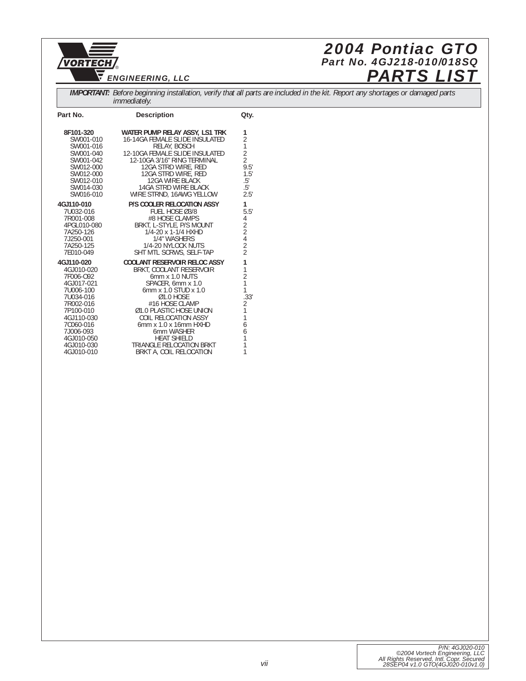

### *2004 Pontiac GTO* **EXALGO REFUELD:**<br>
Part No. 4GJ218-010/018SQ<br>
PARTS LIST **PARTS LIST**

*IMPORTANT: Before beginning installation, verify that all parts are included in the kit. Report any shortages or damaged parts immediately.*

| Part No.                                                                                                                                                                                   | <b>Description</b>                                                                                                                                                                                                                                                                                                           | Qty.                                                                                                                   |
|--------------------------------------------------------------------------------------------------------------------------------------------------------------------------------------------|------------------------------------------------------------------------------------------------------------------------------------------------------------------------------------------------------------------------------------------------------------------------------------------------------------------------------|------------------------------------------------------------------------------------------------------------------------|
| 8F101-320<br>SW001-010<br>SW001-016<br>SW001-040<br>SW001-042<br>SW012-000<br>SW012-000<br>SW012-010<br>SW014-030<br>SW016-010                                                             | WATER PUMP RELAY ASSY, LS1 TRK<br>16-14GA FEMALE SLIDE INSULATED<br>RELAY, BOSCH<br>12-10GA FEMALE SLIDE INSULATED<br>12-10GA 3/16" RING TERMINAL<br>12GA STRD WIRE, RED<br>12GA STRD WIRE, RED<br>12GA WIRE BLACK<br>14GA STRD WIRE BLACK<br>WIRE STRND, 16AWG YELLOW                                                       | 1<br>$\overline{2}$<br>$\begin{array}{c} 1 \\ 2 \\ 2 \end{array}$<br>9.5'<br>1.5'<br>$.5^{\circ}$<br>.5'<br>2.5'       |
| 4GJ110-010<br>7U032-016<br>7R001-008<br>4PGL010-080<br>7A250-126<br>7J250-001<br>7A250-125<br>7E010-049                                                                                    | P/S COOLER RELOCATION ASSY<br>FUEL HOSE 03/8<br>#8 HOSE CLAMPS<br>BRKT, L-STYLE, P/S MOUNT<br>1/4-20 x 1-1/4 HXHD<br>1/4" WASHERS<br>1/4-20 NYLOCK NUTS<br>SHT MTL SCRWS, SELF-TAP                                                                                                                                           | 1<br>5.5'<br>4<br>22422                                                                                                |
| 4GJ110-020<br>4G.J010-020<br>7F006-092<br>4GJ017-021<br>7U006-100<br>7U034-016<br>7R002-016<br>7P100-010<br>4GJ110-030<br>7C060-016<br>7J006-093<br>4GJ010-050<br>4GJ010-030<br>4GJ010-010 | COOLANT RESERVOIR RELOC ASSY<br>BRKT, COOLANT RESERVOIR<br>6mm x 1.0 NUTS<br>SPACER, 6mm x 1.0<br>6mm x 1.0 STUD x 1.0<br>01.0 HOSE<br>#16 HOSE CLAMP<br>Ø1.0 PLASTIC HOSE UNION<br>COIL RELOCATION ASSY<br>6mm x 1.0 x 16mm HXHD<br>6mm WASHER<br><b>HEAT SHIELD</b><br>TRIANGLE RELOCATION BRKT<br>BRKT A, COIL RELOCATION | 1<br>1<br>$\frac{2}{1}$<br>$\overline{1}$<br>.33'<br>$\frac{2}{1}$<br>$\mathbf{1}$<br>6<br>6<br>1<br>$\mathbf{1}$<br>1 |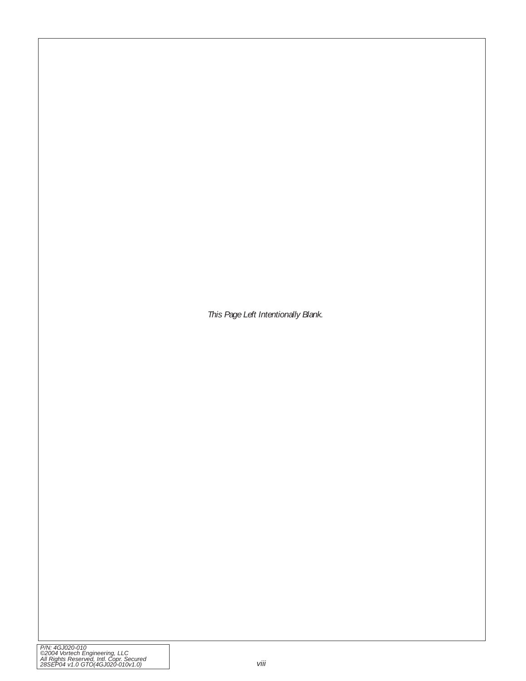*This Page Left Intentionally Blank.*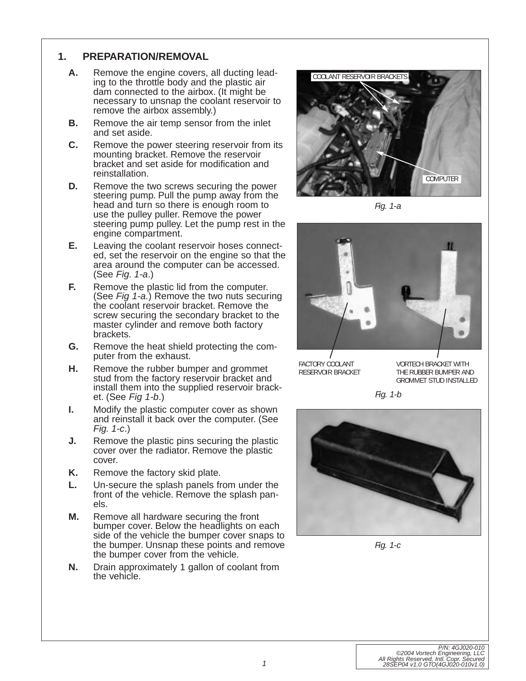#### **1. PREPARATION/REMOVAL**

- **A.** Remove the engine covers, all ducting leading to the throttle body and the plastic air dam connected to the airbox. (It might be necessary to unsnap the coolant reservoir to remove the airbox assembly.)
- **B.** Remove the air temp sensor from the inlet and set aside.
- **C.** Remove the power steering reservoir from its mounting bracket. Remove the reservoir bracket and set aside for modification and reinstallation.
- **D.** Remove the two screws securing the power steering pump. Pull the pump away from the head and turn so there is enough room to use the pulley puller. Remove the power steering pump pulley. Let the pump rest in the engine compartment.
- **E.** Leaving the coolant reservoir hoses connected, set the reservoir on the engine so that the area around the computer can be accessed. (See Fig. 1-a.)
- **F.** Remove the plastic lid from the computer. (See Fig 1-a.) Remove the two nuts securing the coolant reservoir bracket. Remove the screw securing the secondary bracket to the master cylinder and remove both factory brackets.
- **G.** Remove the heat shield protecting the computer from the exhaust.
- **H.** Remove the rubber bumper and grommet stud from the factory reservoir bracket and install them into the supplied reservoir bracket. (See Fig 1-b.)
- **I.** Modify the plastic computer cover as shown and reinstall it back over the computer. (See Fig. 1-c.)
- **J.** Remove the plastic pins securing the plastic cover over the radiator. Remove the plastic cover.
- **K.** Remove the factory skid plate.
- **L.** Un-secure the splash panels from under the front of the vehicle. Remove the splash panels.
- **M.** Remove all hardware securing the front bumper cover. Below the headlights on each side of the vehicle the bumper cover snaps to the bumper. Unsnap these points and remove the bumper cover from the vehicle.
- **N.** Drain approximately 1 gallon of coolant from the vehicle.



*Fig. 1-a*



FACTORY COOLANT RESERVOIR BRACKET

VORTECH BRACKET WITH THE RUBBER BUMPER AND GROMMET STUD INSTALLED

*Fig. 1-b*



*Fig. 1-c*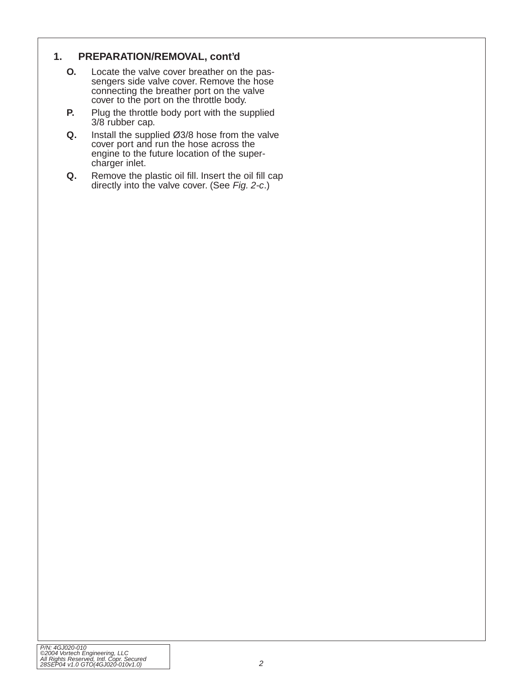#### **1. PREPARATION/REMOVAL, cont'd**

- **O.** Locate the valve cover breather on the passengers side valve cover. Remove the hose connecting the breather port on the valve cover to the port on the throttle body.
- **P.** Plug the throttle body port with the supplied 3/8 rubber cap.
- **Q.** Install the supplied Ø3/8 hose from the valve cover port and run the hose across the engine to the future location of the supercharger inlet.
- **Q.** Remove the plastic oil fill. Insert the oil fill cap directly into the valve cover. (See Fig. 2-c.)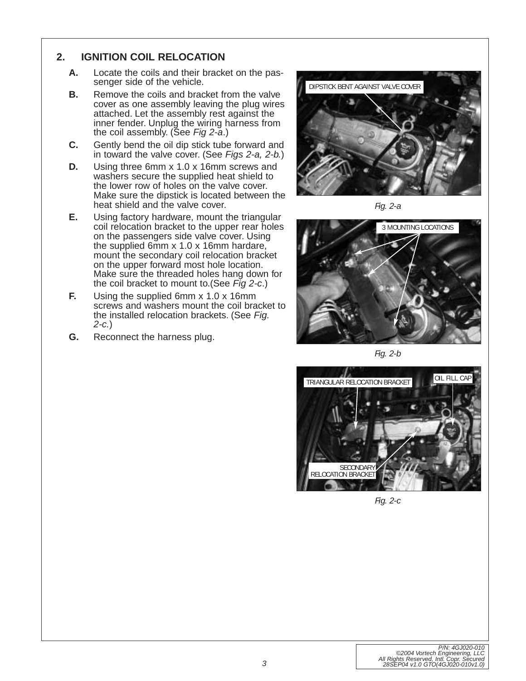#### **2. IGNITION COIL RELOCATION**

- **A.** Locate the coils and their bracket on the passenger side of the vehicle.
- **B.** Remove the coils and bracket from the valve cover as one assembly leaving the plug wires attached. Let the assembly rest against the inner fender. Unplug the wiring harness from the coil assembly. (See Fig  $2-a$ .)
- **C.** Gently bend the oil dip stick tube forward and in toward the valve cover. (See Figs 2-a, 2-b.)
- **D.** Using three 6mm x 1.0 x 16mm screws and washers secure the supplied heat shield to the lower row of holes on the valve cover. Make sure the dipstick is located between the heat shield and the valve cover.
- **E.** Using factory hardware, mount the triangular coil relocation bracket to the upper rear holes on the passengers side valve cover. Using the supplied 6mm x 1.0 x 16mm hardare, mount the secondary coil relocation bracket on the upper forward most hole location. Make sure the threaded holes hang down for the coil bracket to mount to.(See Fig 2-c.)
- **F.** Using the supplied 6mm x 1.0 x 16mm screws and washers mount the coil bracket to the installed relocation brackets. (See Fig.  $2-c.$ )
- **G.** Reconnect the harness plug.



*Fig. 2-a*



*Fig. 2-b*



*Fig. 2-c*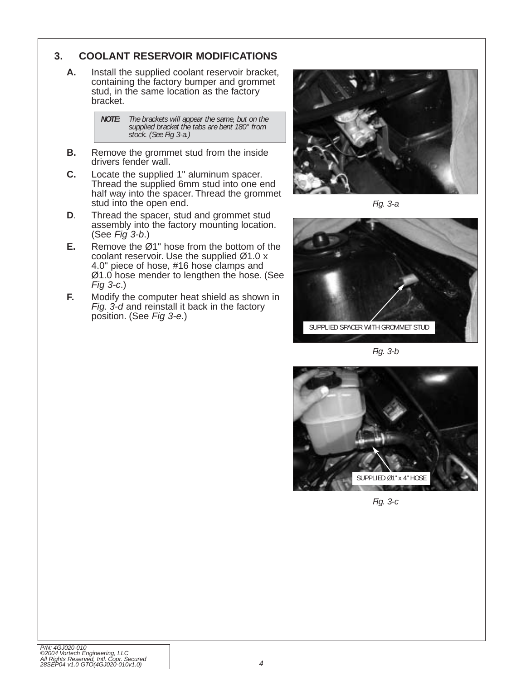#### **3. COOLANT RESERVOIR MODIFICATIONS**

**A.** Install the supplied coolant reservoir bracket, containing the factory bumper and grommet stud, in the same location as the factory bracket.

> *NOTE: The brackets will appear the same, but on the supplied bracket the tabs are bent 180° from stock. (See Fig 3-a.)*

- **B.** Remove the grommet stud from the inside drivers fender wall.
- **C.** Locate the supplied 1" aluminum spacer. Thread the supplied 6mm stud into one end half way into the spacer. Thread the grommet stud into the open end.
- **D**. Thread the spacer, stud and grommet stud assembly into the factory mounting location. (See Fig 3-b.)
- **E.** Remove the Ø1" hose from the bottom of the coolant reservoir. Use the supplied Ø1.0 x 4.0" piece of hose, #16 hose clamps and Ø1.0 hose mender to lengthen the hose. (See Fig 3-c.)
- **F.** Modify the computer heat shield as shown in Fig. 3-d and reinstall it back in the factory position. (See Fig 3-e.)



*Fig. 3-a*



*Fig. 3-b*



*Fig. 3-c*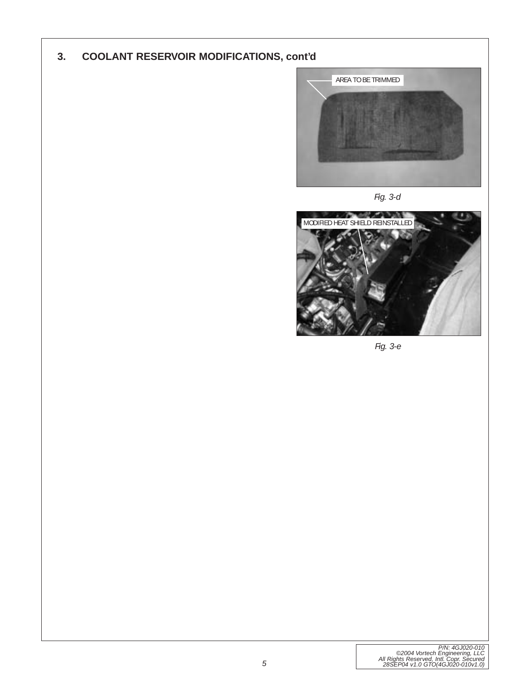#### **3. COOLANT RESERVOIR MODIFICATIONS, cont'd**



*Fig. 3-d*



*Fig. 3-e*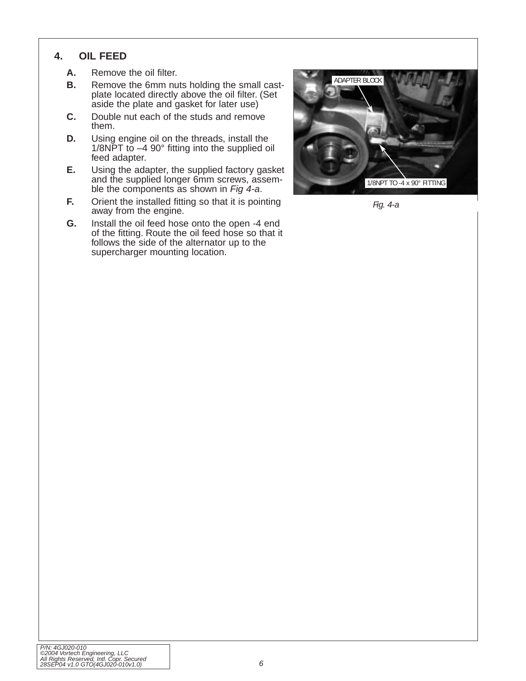#### **4. OIL FEED**

- **A.** Remove the oil filter.
- **B.** Remove the 6mm nuts holding the small castplate located directly above the oil filter. (Set aside the plate and gasket for later use)
- **C.** Double nut each of the studs and remove them.
- **D.** Using engine oil on the threads, install the 1/8NPT to -4 90° fitting into the supplied oil feed adapter.
- **E.** Using the adapter, the supplied factory gasket and the supplied longer 6mm screws, assemble the components as shown in Fig 4-a.
- **F.** Orient the installed fitting so that it is pointing away from the engine.
- **G.** Install the oil feed hose onto the open -4 end of the fitting. Route the oil feed hose so that it follows the side of the alternator up to the supercharger mounting location.



*Fig. 4-a*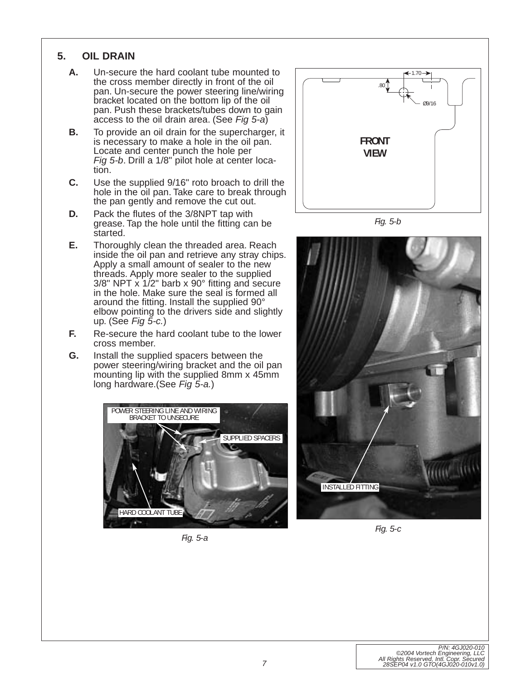#### **5. OIL DRAIN**

- **A.** Un-secure the hard coolant tube mounted to the cross member directly in front of the oil pan. Un-secure the power steering line/wiring bracket located on the bottom lip of the oil pan. Push these brackets/tubes down to gain access to the oil drain area. (See Fig 5-a)
- **B.** To provide an oil drain for the supercharger, it is necessary to make a hole in the oil pan. Locate and center punch the hole per Fig 5-b. Drill a 1/8" pilot hole at center location.
- **C.** Use the supplied 9/16" roto broach to drill the hole in the oil pan. Take care to break through the pan gently and remove the cut out.
- **D.** Pack the flutes of the 3/8NPT tap with grease. Tap the hole until the fitting can be started.
- **E.** Thoroughly clean the threaded area. Reach inside the oil pan and retrieve any stray chips. Apply a small amount of sealer to the new threads. Apply more sealer to the supplied  $3/8$ " NPT x  $1/2$ " barb x 90 $^{\circ}$  fitting and secure in the hole. Make sure the seal is formed all around the fitting. Install the supplied 90° elbow pointing to the drivers side and slightly up. (See Fig  $\bar{5}$ -c.)
- **F.** Re-secure the hard coolant tube to the lower cross member.
- **G.** Install the supplied spacers between the power steering/wiring bracket and the oil pan mounting lip with the supplied 8mm x 45mm long hardware.(See Fig 5-a.)



*Fig. 5-a*



*Fig. 5-b*



*Fig. 5-c*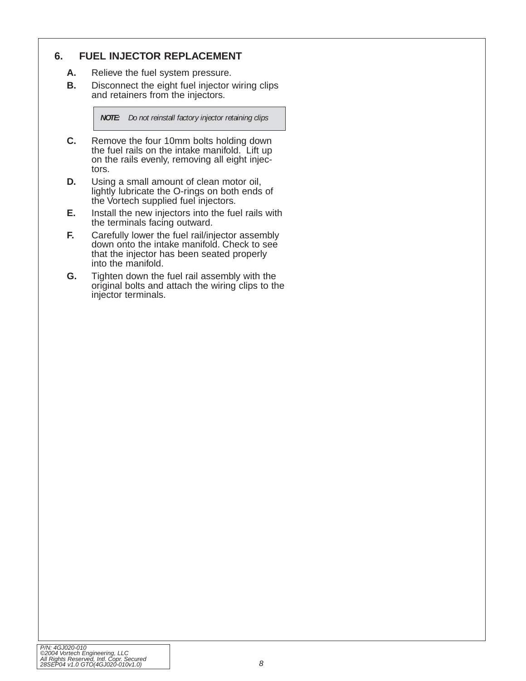#### **6. FUEL INJECTOR REPLACEMENT**

- **A.** Relieve the fuel system pressure.
- **B.** Disconnect the eight fuel injector wiring clips and retainers from the injectors.

*NOTE: Do not reinstall factory injector retaining clips*

- **C.** Remove the four 10mm bolts holding down the fuel rails on the intake manifold. Lift up on the rails evenly, removing all eight injectors.
- **D.** Using a small amount of clean motor oil, lightly lubricate the O-rings on both ends of the Vortech supplied fuel injectors.
- **E.** Install the new injectors into the fuel rails with the terminals facing outward.
- **F.** Carefully lower the fuel rail/injector assembly down onto the intake manifold. Check to see that the injector has been seated properly into the manifold.
- **G.** Tighten down the fuel rail assembly with the original bolts and attach the wiring clips to the injector terminals.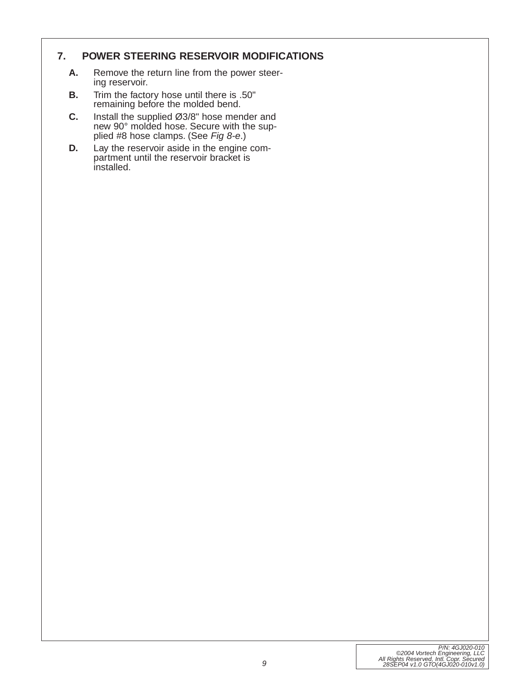#### **7. POWER STEERING RESERVOIR MODIFICATIONS**

- **A.** Remove the return line from the power steering reservoir.
- **B.** Trim the factory hose until there is .50" remaining before the molded bend.
- **C.** Install the supplied Ø3/8" hose mender and new 90° molded hose. Secure with the supplied #8 hose clamps. (See Fig 8-e.)
- **D.** Lay the reservoir aside in the engine compartment until the reservoir bracket is installed.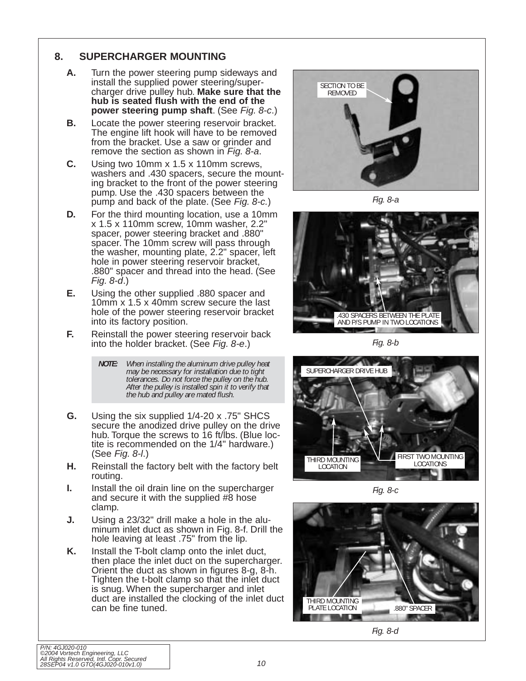#### **8. SUPERCHARGER MOUNTING**

- **A.** Turn the power steering pump sideways and install the supplied power steering/supercharger drive pulley hub. **Make sure that the hub is seated flush with the end of the power steering pump shaft**. (See Fig. 8-c.)
- **B.** Locate the power steering reservoir bracket. The engine lift hook will have to be removed from the bracket. Use a saw or grinder and remove the section as shown in Fig. 8-a.
- **C.** Using two 10mm x 1.5 x 110mm screws, washers and .430 spacers, secure the mounting bracket to the front of the power steering pump. Use the .430 spacers between the pump and back of the plate. (See Fig. 8-c.)
- **D.** For the third mounting location, use a 10mm x 1.5 x 110mm screw, 10mm washer, 2.2" spacer, power steering bracket and .880" spacer. The 10mm screw will pass through the washer, mounting plate, 2.2" spacer, left hole in power steering reservoir bracket, .880" spacer and thread into the head. (See Fig. 8-d.)
- **E.** Using the other supplied .880 spacer and 10mm x 1.5 x 40mm screw secure the last hole of the power steering reservoir bracket into its factory position.
- **F.** Reinstall the power steering reservoir back into the holder bracket. (See Fig. 8-e.)

*NOTE: When installing the aluminum drive pulley heat may be necessary for installation due to tight tolerances. Do not force the pulley on the hub. After the pulley is installed spin it to verify that the hub and pulley are mated flush.*

- **G.** Using the six supplied 1/4-20 x .75" SHCS secure the anodized drive pulley on the drive hub. Torque the screws to 16 ft/lbs. (Blue loctite is recommended on the 1/4" hardware.) (See Fig. 8-l.)
- **H.** Reinstall the factory belt with the factory belt routing.
- **I.** Install the oil drain line on the supercharger and secure it with the supplied #8 hose clamp.
- **J.** Using a 23/32" drill make a hole in the aluminum inlet duct as shown in Fig. 8-f. Drill the hole leaving at least .75" from the lip.
- **K.** Install the T-bolt clamp onto the inlet duct, then place the inlet duct on the supercharger. Orient the duct as shown in figures 8-g, 8-h. Tighten the t-bolt clamp so that the inlet duct is snug. When the supercharger and inlet duct are installed the clocking of the inlet duct can be fine tuned.



*Fig. 8-a*



*Fig. 8-b*



*Fig. 8-c*



*Fig. 8-d*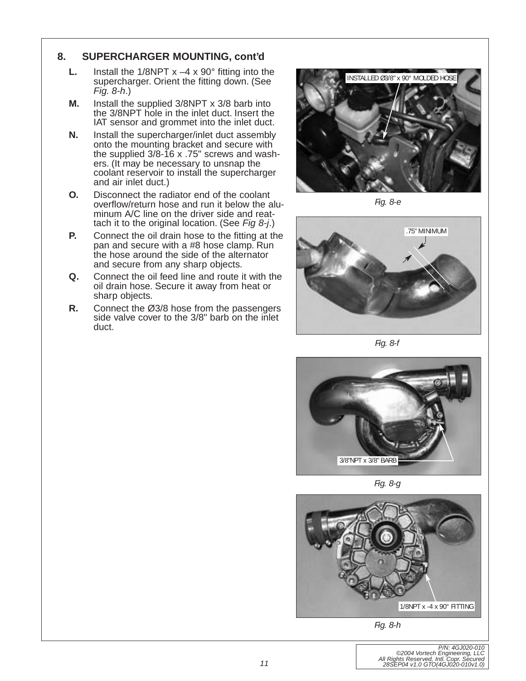#### **8. SUPERCHARGER MOUNTING, cont'd**

- **L.** Install the  $1/8$ NPT  $x 4 \times 90^\circ$  fitting into the supercharger. Orient the fitting down. (See Fig. 8-h.)
- **M.** Install the supplied 3/8NPT x 3/8 barb into the 3/8NPT hole in the inlet duct. Insert the IAT sensor and grommet into the inlet duct.
- **N.** Install the supercharger/inlet duct assembly onto the mounting bracket and secure with the supplied 3/8-16 x .75" screws and washers. (It may be necessary to unsnap the coolant reservoir to install the supercharger and air inlet duct.)
- **O.** Disconnect the radiator end of the coolant overflow/return hose and run it below the aluminum A/C line on the driver side and reattach it to the original location. (See Fig 8-j.)
- **P.** Connect the oil drain hose to the fitting at the pan and secure with a #8 hose clamp. Run the hose around the side of the alternator and secure from any sharp objects.
- **Q.** Connect the oil feed line and route it with the oil drain hose. Secure it away from heat or sharp objects.
- **R.** Connect the Ø3/8 hose from the passengers side valve cover to the 3/8" barb on the inlet duct.



*Fig. 8-e*



*Fig. 8-f*



*Fig. 8-g*



*Fig. 8-h*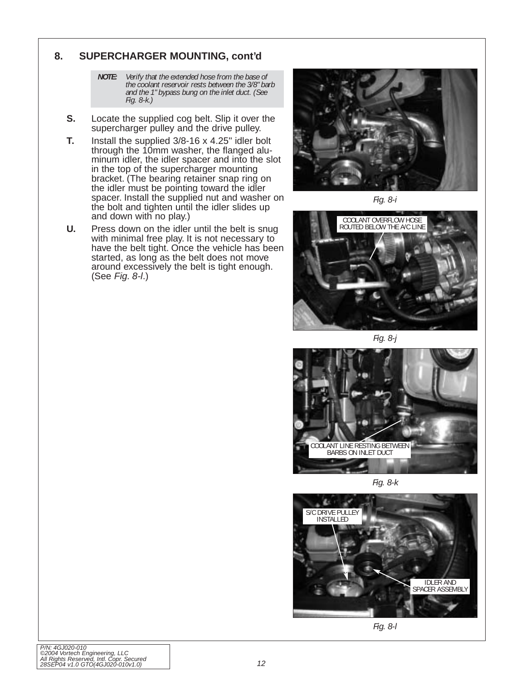#### **8. SUPERCHARGER MOUNTING, cont'd**

- *NOTE: Verify that the extended hose from the base of the coolant reservoir rests between the 3/8" barb and the 1" bypass bung on the inlet duct. (See Fig. 8-k.)*
- **S.** Locate the supplied cog belt. Slip it over the supercharger pulley and the drive pulley.
- **T.** Install the supplied 3/8-16 x 4.25" idler bolt through the 10mm washer, the flanged aluminum idler, the idler spacer and into the slot in the top of the supercharger mounting bracket. (The bearing retainer snap ring on the idler must be pointing toward the idler spacer. Install the supplied nut and washer on the bolt and tighten until the idler slides up and down with no play.)
- **U.** Press down on the idler until the belt is snug with minimal free play. It is not necessary to have the belt tight. Once the vehicle has been started, as long as the belt does not move around excessively the belt is tight enough. (See Fig. 8-l.)



*Fig. 8-i*



*Fig. 8-j*



*Fig. 8-k*



*Fig. 8-l*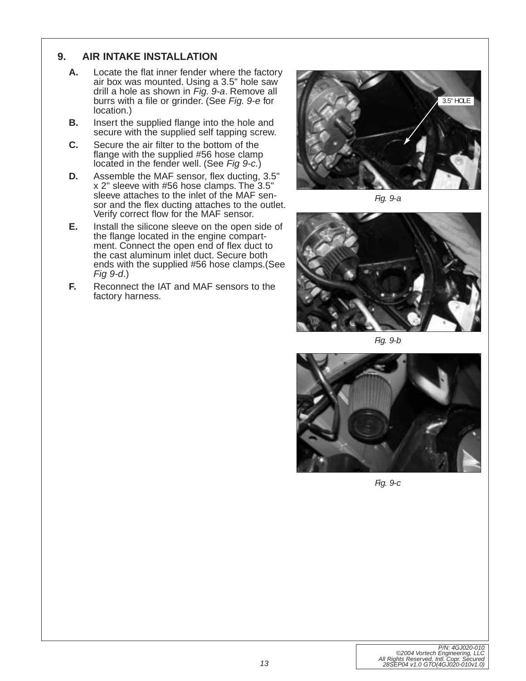#### **9. AIR INTAKE INSTALLATION**

- **A.** Locate the flat inner fender where the factory air box was mounted. Using a 3.5" hole saw drill a hole as shown in Fig. 9-a. Remove all burrs with a file or grinder. (See Fig. 9-e for location.)
- **B.** Insert the supplied flange into the hole and secure with the supplied self tapping screw.
- **C.** Secure the air filter to the bottom of the flange with the supplied #56 hose clamp located in the fender well. (See Fig 9-c.)
- **D.** Assemble the MAF sensor, flex ducting, 3.5" x 2" sleeve with #56 hose clamps. The 3.5" sleeve attaches to the inlet of the MAF sensor and the flex ducting attaches to the outlet. Verify correct flow for the MAF sensor.
- **E.** Install the silicone sleeve on the open side of the flange located in the engine compartment. Connect the open end of flex duct to the cast aluminum inlet duct. Secure both ends with the supplied #56 hose clamps.(See Fig 9-d.)
- **F.** Reconnect the IAT and MAF sensors to the factory harness.



*Fig. 9-a*



*Fig. 9-b*



*Fig. 9-c*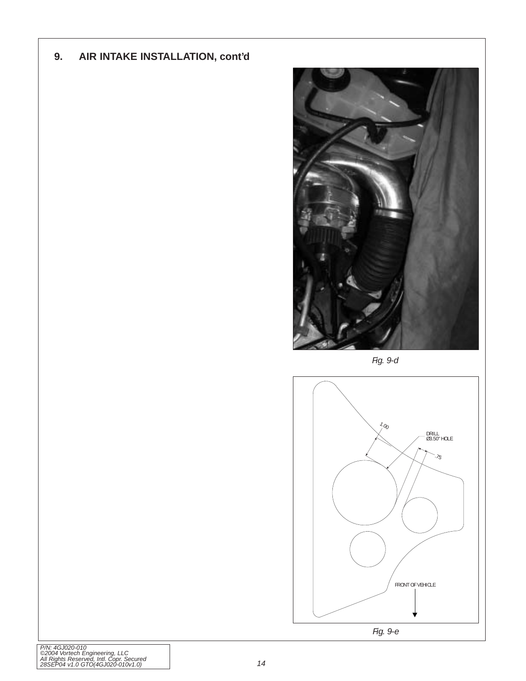#### **9. AIR INTAKE INSTALLATION, cont'd**



*Fig. 9-d*



P/N: 4GJ020-010 ©2004 Vortech Engineering, LLC All Rights Reserved, Intl. Copr. Secured 28SEP04 v1.0 GTO(4GJ020-010v1.0)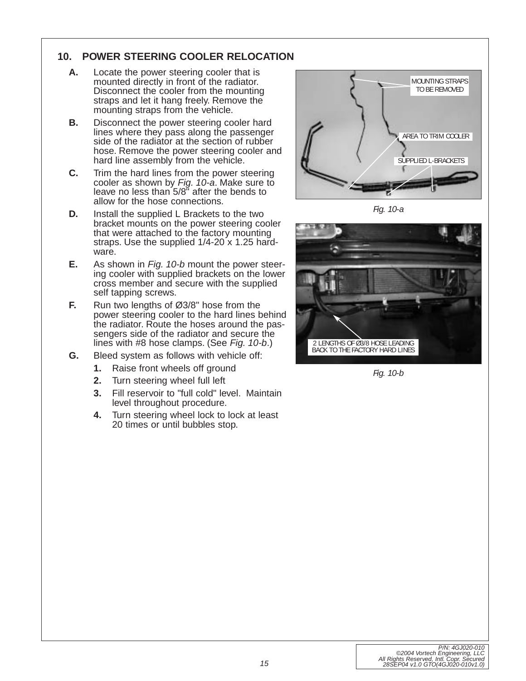#### **10. POWER STEERING COOLER RELOCATION**

- **A.** Locate the power steering cooler that is mounted directly in front of the radiator. Disconnect the cooler from the mounting straps and let it hang freely. Remove the mounting straps from the vehicle.
- **B.** Disconnect the power steering cooler hard lines where they pass along the passenger side of the radiator at the section of rubber hose. Remove the power steering cooler and hard line assembly from the vehicle.
- **C.** Trim the hard lines from the power steering cooler as shown by Fig. 10-a. Make sure to leave no less than 5/8" after the bends to allow for the hose connections.
- **D.** Install the supplied L Brackets to the two bracket mounts on the power steering cooler that were attached to the factory mounting straps. Use the supplied 1/4-20 x 1.25 hardware.
- **E.** As shown in *Fig. 10-b* mount the power steering cooler with supplied brackets on the lower cross member and secure with the supplied self tapping screws.
- **F.** Run two lengths of Ø3/8" hose from the power steering cooler to the hard lines behind the radiator. Route the hoses around the passengers side of the radiator and secure the lines with #8 hose clamps. (See Fig. 10-b.)
- **G.** Bleed system as follows with vehicle off:
	- **1.** Raise front wheels off ground
	- **2.** Turn steering wheel full left
	- **3.** Fill reservoir to "full cold" level. Maintain level throughout procedure.
	- **4.** Turn steering wheel lock to lock at least 20 times or until bubbles stop.



*Fig. 10-a*



*Fig. 10-b*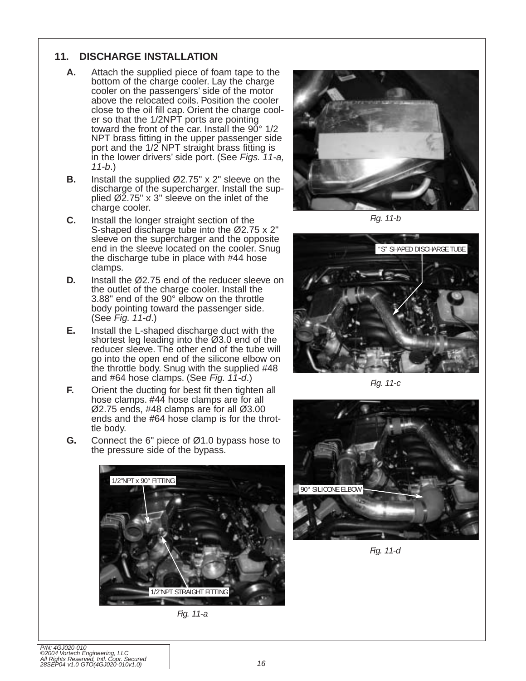#### **11. DISCHARGE INSTALLATION**

- **A.** Attach the supplied piece of foam tape to the bottom of the charge cooler. Lay the charge cooler on the passengers' side of the motor above the relocated coils. Position the cooler close to the oil fill cap. Orient the charge cooler so that the 1/2NPT ports are pointing toward the front of the car. Install the  $90^{\circ}$  1/2 NPT brass fitting in the upper passenger side port and the 1/2 NPT straight brass fitting is in the lower drivers' side port. (See Figs. 11-a,  $11-b.$
- **B.** Install the supplied Ø2.75" x 2" sleeve on the discharge of the supercharger. Install the supplied  $\emptyset$ 2.75" x 3" sleeve on the inlet of the charge cooler.
- **C.** Install the longer straight section of the S-shaped discharge tube into the Ø2.75 x 2" sleeve on the supercharger and the opposite end in the sleeve located on the cooler. Snug the discharge tube in place with #44 hose clamps.
- **D.** Install the Ø2.75 end of the reducer sleeve on the outlet of the charge cooler. Install the 3.88" end of the 90° elbow on the throttle body pointing toward the passenger side. (See Fig. 11-d.)
- **E.** Install the L-shaped discharge duct with the shortest leg leading into the Ø3.0 end of the reducer sleeve. The other end of the tube will go into the open end of the silicone elbow on the throttle body. Snug with the supplied #48 and #64 hose clamps. (See Fig. 11-d.)
- **F.** Orient the ducting for best fit then tighten all hose clamps. #44 hose clamps are for all Ø2.75 ends, #48 clamps are for all Ø3.00 ends and the #64 hose clamp is for the throttle body.
- **G.** Connect the 6" piece of Ø1.0 bypass hose to the pressure side of the bypass.



*Fig. 11-a*



*Fig. 11-b*



*Fig. 11-c*



*Fig. 11-d*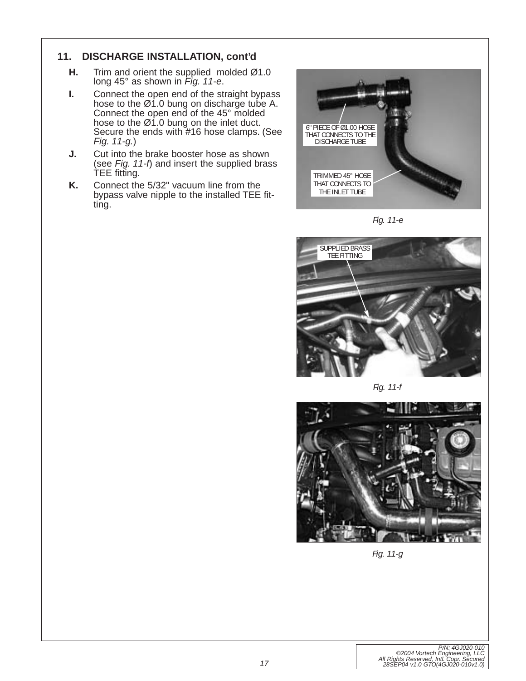#### **11. DISCHARGE INSTALLATION, cont'd**

- **H.** Trim and orient the supplied molded Ø1.0 long 45° as shown in Fig. 11-e.
- **I.** Connect the open end of the straight bypass hose to the Ø1.0 bung on discharge tube A. Connect the open end of the 45° molded hose to the Ø1.0 bung on the inlet duct. Secure the ends with #16 hose clamps. (See Fig. 11-g.)
- **J.** Cut into the brake booster hose as shown (see Fig. 11-f) and insert the supplied brass TEE fitting.
- **K.** Connect the 5/32" vacuum line from the bypass valve nipple to the installed TEE fitting.



*Fig. 11-e*



*Fig. 11-f*



*Fig. 11-g*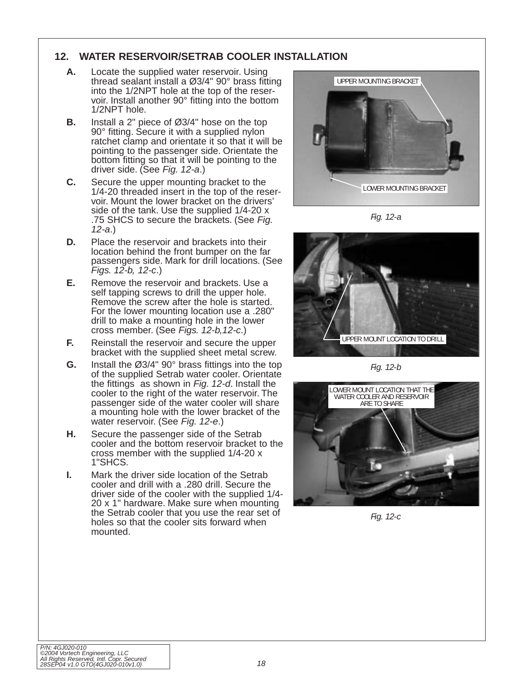#### **12. WATER RESERVOIR/SETRAB COOLER INSTALLATION**

- **A.** Locate the supplied water reservoir. Using thread sealant install a Ø3/4" 90° brass fitting into the 1/2NPT hole at the top of the reservoir. Install another 90° fitting into the bottom 1/2NPT hole.
- **B.** Install a 2" piece of Ø3/4" hose on the top 90° fitting. Secure it with a supplied nylon ratchet clamp and orientate it so that it will be pointing to the passenger side. Orientate the bottom fitting so that it will be pointing to the driver side. (See Fig. 12-a.)
- **C.** Secure the upper mounting bracket to the 1/4-20 threaded insert in the top of the reservoir. Mount the lower bracket on the drivers' side of the tank. Use the supplied 1/4-20 x .75 SHCS to secure the brackets. (See Fig. 12-a.)
- **D.** Place the reservoir and brackets into their location behind the front bumper on the far passengers side. Mark for drill locations. (See Figs. 12-b, 12-c.)
- **E.** Remove the reservoir and brackets. Use a self tapping screws to drill the upper hole. Remove the screw after the hole is started. For the lower mounting location use a .280" drill to make a mounting hole in the lower cross member. (See Figs. 12-b,12-c.)
- **F.** Reinstall the reservoir and secure the upper bracket with the supplied sheet metal screw.
- **G.** Install the Ø3/4" 90° brass fittings into the top of the supplied Setrab water cooler. Orientate the fittings as shown in Fig. 12-d. Install the cooler to the right of the water reservoir. The passenger side of the water cooler will share a mounting hole with the lower bracket of the water reservoir. (See Fig. 12-e.)
- **H.** Secure the passenger side of the Setrab cooler and the bottom reservoir bracket to the cross member with the supplied 1/4-20 x 1"SHCS.
- **I.** Mark the driver side location of the Setrab cooler and drill with a .280 drill. Secure the driver side of the cooler with the supplied 1/4- 20 x 1" hardware. Make sure when mounting the Setrab cooler that you use the rear set of holes so that the cooler sits forward when mounted.



*Fig. 12-a*



*Fig. 12-b*



*Fig. 12-c*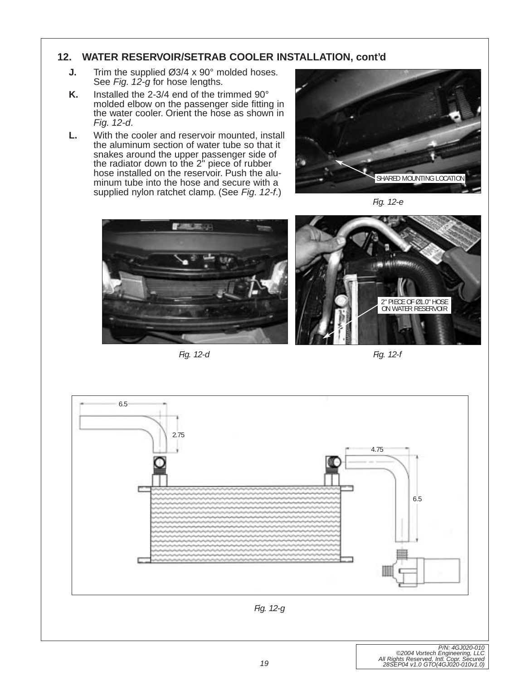#### **12. WATER RESERVOIR/SETRAB COOLER INSTALLATION, cont'd**

- **J.** Trim the supplied Ø3/4 x 90° molded hoses. See Fig. 12-g for hose lengths.
- **K.** Installed the 2-3/4 end of the trimmed 90° molded elbow on the passenger side fitting in the water cooler. Orient the hose as shown in Fig. 12-d.
- **L.** With the cooler and reservoir mounted, install the aluminum section of water tube so that it snakes around the upper passenger side of the radiator down to the 2" piece of rubber hose installed on the reservoir. Push the aluminum tube into the hose and secure with a supplied nylon ratchet clamp. (See Fig. 12-f.)







*Fig. 12-d*





©2004 Vortech Engineering, LLC All Rights Reserved, Intl. Copr. Secured 28SEP04 v1.0 GTO(4GJ020-010v1.0)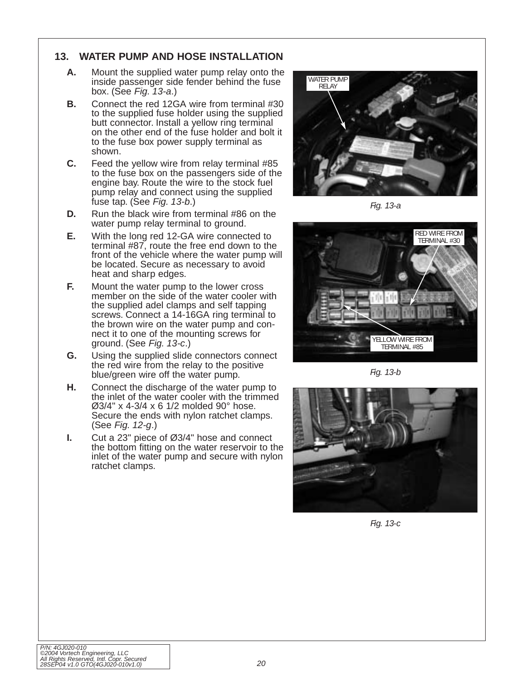#### **13. WATER PUMP AND HOSE INSTALLATION**

- **A.** Mount the supplied water pump relay onto the inside passenger side fender behind the fuse box. (See Fig. 13-a.)
- **B.** Connect the red 12GA wire from terminal #30 to the supplied fuse holder using the supplied butt connector. Install a yellow ring terminal on the other end of the fuse holder and bolt it to the fuse box power supply terminal as shown.
- **C.** Feed the yellow wire from relay terminal #85 to the fuse box on the passengers side of the engine bay. Route the wire to the stock fuel pump relay and connect using the supplied fuse tap. (See Fig. 13-b.)
- **D.** Run the black wire from terminal #86 on the water pump relay terminal to ground.
- **E.** With the long red 12-GA wire connected to terminal #87, route the free end down to the front of the vehicle where the water pump will be located. Secure as necessary to avoid heat and sharp edges.
- **F.** Mount the water pump to the lower cross member on the side of the water cooler with the supplied adel clamps and self tapping screws. Connect a 14-16GA ring terminal to the brown wire on the water pump and connect it to one of the mounting screws for ground. (See Fig. 13-c.)
- **G.** Using the supplied slide connectors connect the red wire from the relay to the positive blue/green wire off the water pump.
- **H.** Connect the discharge of the water pump to the inlet of the water cooler with the trimmed Ø3/4" x 4-3/4 x 6 1/2 molded 90° hose. Secure the ends with nylon ratchet clamps. (See Fig. 12-g.)
- **I.** Cut a 23" piece of Ø3/4" hose and connect the bottom fitting on the water reservoir to the inlet of the water pump and secure with nylon ratchet clamps.



*Fig. 13-a*



*Fig. 13-b*



*Fig. 13-c*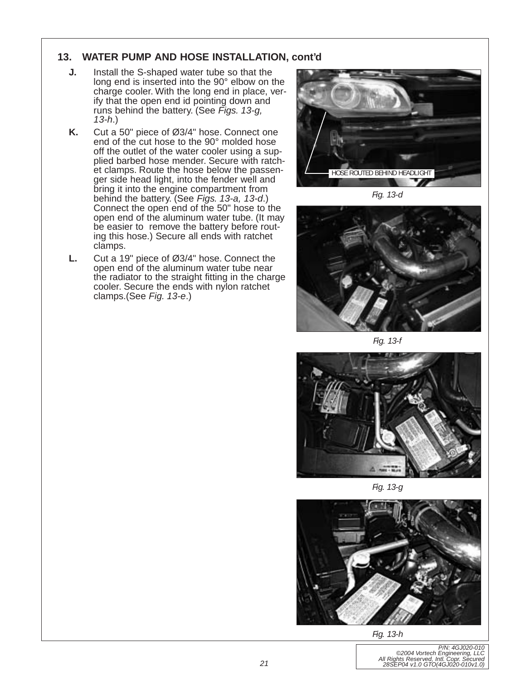#### **13. WATER PUMP AND HOSE INSTALLATION, cont'd**

- **J.** Install the S-shaped water tube so that the long end is inserted into the 90° elbow on the charge cooler. With the long end in place, verify that the open end id pointing down and runs behind the battery. (See Figs. 13-g, 13-h.)
- **K.** Cut a 50" piece of Ø3/4" hose. Connect one end of the cut hose to the 90° molded hose off the outlet of the water cooler using a supplied barbed hose mender. Secure with ratchet clamps. Route the hose below the passenger side head light, into the fender well and bring it into the engine compartment from behind the battery. (See Figs. 13-a, 13-d.) Connect the open end of the 50" hose to the open end of the aluminum water tube. (It may be easier to remove the battery before routing this hose.) Secure all ends with ratchet clamps.
- **L.** Cut a 19" piece of Ø3/4" hose. Connect the open end of the aluminum water tube near the radiator to the straight fitting in the charge cooler. Secure the ends with nylon ratchet clamps.(See Fig. 13-e.)



*Fig. 13-d*



*Fig. 13-f*



*Fig. 13-g*



*Fig. 13-h*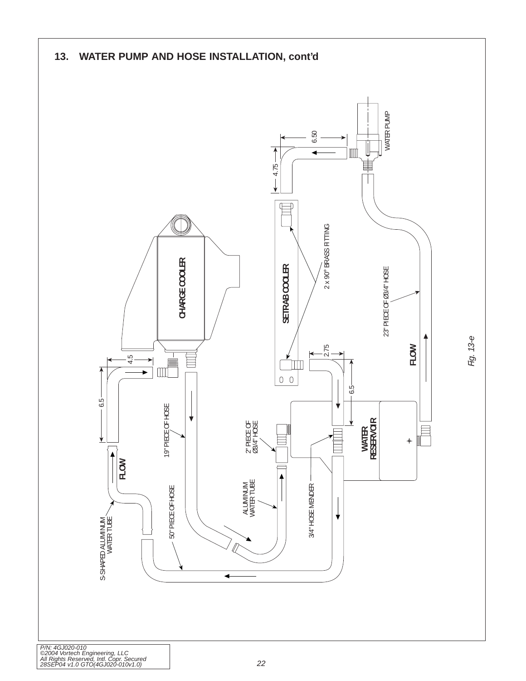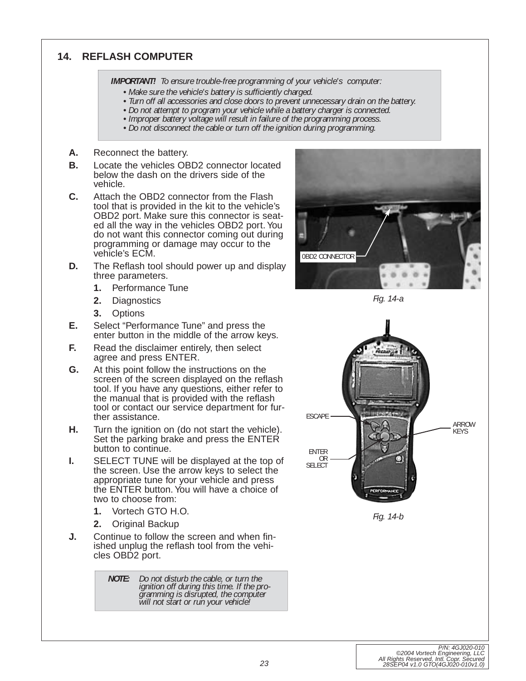#### **14. REFLASH COMPUTER**

*IMPORTANT! To ensure trouble-free programming of your vehicle's computer:*

- *Make sure the vehicle's battery is sufficiently charged.*
- *Turn off all accessories and close doors to prevent unnecessary drain on the battery.*
- *Do not attempt to program your vehicle while a battery charger is connected.*
- *Improper battery voltage will result in failure of the programming process.*
- *Do not disconnect the cable or turn off the ignition during programming.*
- **A.** Reconnect the battery.
- **B.** Locate the vehicles OBD2 connector located below the dash on the drivers side of the vehicle.
- **C.** Attach the OBD2 connector from the Flash tool that is provided in the kit to the vehicle's OBD2 port. Make sure this connector is seated all the way in the vehicles OBD2 port. You do not want this connector coming out during programming or damage may occur to the vehicle's ECM.
- **D.** The Reflash tool should power up and display three parameters.
	- **1.** Performance Tune
	- **2.** Diagnostics
	- **3.** Options
- **E.** Select "Performance Tune" and press the enter button in the middle of the arrow keys.
- **F.** Read the disclaimer entirely, then select agree and press ENTER.
- **G.** At this point follow the instructions on the screen of the screen displayed on the reflash tool. If you have any questions, either refer to the manual that is provided with the reflash tool or contact our service department for further assistance.
- **H.** Turn the ignition on (do not start the vehicle). Set the parking brake and press the ENTER button to continue.
- **I.** SELECT TUNE will be displayed at the top of the screen. Use the arrow keys to select the appropriate tune for your vehicle and press the ENTER button. You will have a choice of two to choose from:
	- **1.** Vortech GTO H.O.
	- **2.** Original Backup
- **J.** Continue to follow the screen and when finished unplug the reflash tool from the vehicles OBD2 port.

*NOTE: Do not disturb the cable, or turn the ignition off during this time. If the programming is disrupted, the computer will not start or run your vehicle!*



*Fig. 14-a*



*Fig. 14-b*